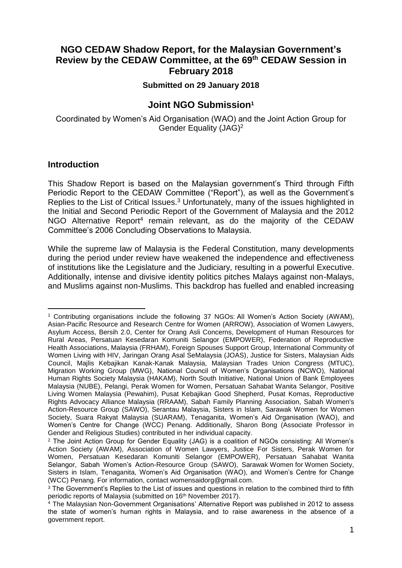# **NGO CEDAW Shadow Report, for the Malaysian Government's Review by the CEDAW Committee, at the 69th CEDAW Session in February 2018**

### **Submitted on 29 January 2018**

## **Joint NGO Submission<sup>1</sup>**

Coordinated by Women's Aid Organisation (WAO) and the Joint Action Group for Gender Equality (JAG)<sup>2</sup>

### **Introduction**

l

This Shadow Report is based on the Malaysian government's Third through Fifth Periodic Report to the CEDAW Committee ("Report"), as well as the Government's Replies to the List of Critical Issues.<sup>3</sup> Unfortunately, many of the issues highlighted in the Initial and Second Periodic Report of the Government of Malaysia and the 2012 NGO Alternative Report<sup>4</sup> remain relevant, as do the majority of the CEDAW Committee's 2006 Concluding Observations to Malaysia.

While the supreme law of Malaysia is the Federal Constitution, many developments during the period under review have weakened the independence and effectiveness of institutions like the Legislature and the Judiciary, resulting in a powerful Executive. Additionally, intense and divisive identity politics pitches Malays against non-Malays, and Muslims against non-Muslims. This backdrop has fuelled and enabled increasing

<sup>1</sup> Contributing organisations include the following 37 NGOs: All Women's Action Society (AWAM), Asian-Pacific Resource and Research Centre for Women (ARROW), Association of Women Lawyers, Asylum Access, Bersih 2.0, Center for Orang Asli Concerns, Development of Human Resources for Rural Areas, Persatuan Kesedaran Komuniti Selangor (EMPOWER), Federation of Reproductive Health Associations, Malaysia (FRHAM), Foreign Spouses Support Group, International Community of Women Living with HIV, Jaringan Orang Asal SeMalaysia (JOAS), Justice for Sisters, Malaysian Aids Council, Majlis Kebajikan Kanak-Kanak Malaysia, Malaysian Trades Union Congress (MTUC), Migration Working Group (MWG), National Council of Women's Organisations (NCWO), National Human Rights Society Malaysia (HAKAM), North South Initiative, National Union of Bank Employees Malaysia (NUBE), Pelangi, Perak Women for Women, Persatuan Sahabat Wanita Selangor, Positive Living Women Malaysia (Pewahim), Pusat Kebajikan Good Shepherd, Pusat Komas, Reproductive Rights Advocacy Alliance Malaysia (RRAAM), Sabah Family Planning Association, Sabah Women's Action-Resource Group (SAWO), Serantau Malaysia, Sisters in Islam, Sarawak Women for Women Society, Suara Rakyat Malaysia (SUARAM), Tenaganita, Women's Aid Organisation (WAO), and Women's Centre for Change (WCC) Penang. Additionally, Sharon Bong (Associate Professor in Gender and Religious Studies) contributed in her individual capacity.

<sup>2</sup> The Joint Action Group for Gender Equality (JAG) is a coalition of NGOs consisting: All Women's Action Society (AWAM), Association of Women Lawyers, Justice For Sisters, Perak Women for Women, Persatuan Kesedaran Komuniti Selangor (EMPOWER), Persatuan Sahabat Wanita Selangor, Sabah Women's Action-Resource Group (SAWO), Sarawak Women for Women Society, Sisters in Islam, Tenaganita, Women's Aid Organisation (WAO), and Women's Centre for Change (WCC) Penang. For information, contact womensaidorg@gmail.com.

<sup>&</sup>lt;sup>3</sup> The Government's Replies to the List of issues and questions in relation to the combined third to fifth periodic reports of Malaysia (submitted on 16<sup>th</sup> November 2017).

<sup>4</sup> The Malaysian Non-Government Organisations' Alternative Report was published in 2012 to assess the state of women's human rights in Malaysia, and to raise awareness in the absence of a government report.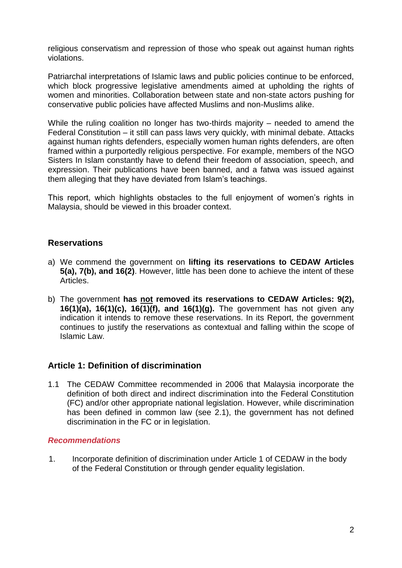religious conservatism and repression of those who speak out against human rights violations.

Patriarchal interpretations of Islamic laws and public policies continue to be enforced, which block progressive legislative amendments aimed at upholding the rights of women and minorities. Collaboration between state and non-state actors pushing for conservative public policies have affected Muslims and non-Muslims alike.

While the ruling coalition no longer has two-thirds majority – needed to amend the Federal Constitution – it still can pass laws very quickly, with minimal debate. Attacks against human rights defenders, especially women human rights defenders, are often framed within a purportedly religious perspective. For example, members of the NGO Sisters In Islam constantly have to defend their freedom of association, speech, and expression. Their publications have been banned, and a fatwa was issued against them alleging that they have deviated from Islam's teachings.

This report, which highlights obstacles to the full enjoyment of women's rights in Malaysia, should be viewed in this broader context.

## **Reservations**

- a) We commend the government on **lifting its reservations to CEDAW Articles 5(a), 7(b), and 16(2)**. However, little has been done to achieve the intent of these Articles.
- b) The government **has not removed its reservations to CEDAW Articles: 9(2), 16(1)(a), 16(1)(c), 16(1)(f), and 16(1)(g).** The government has not given any indication it intends to remove these reservations. In its Report, the government continues to justify the reservations as contextual and falling within the scope of Islamic Law.

# **Article 1: Definition of discrimination**

1.1 The CEDAW Committee recommended in 2006 that Malaysia incorporate the definition of both direct and indirect discrimination into the Federal Constitution (FC) and/or other appropriate national legislation. However, while discrimination has been defined in common law (see 2.1), the government has not defined discrimination in the FC or in legislation.

### *Recommendations*

1. Incorporate definition of discrimination under Article 1 of CEDAW in the body of the Federal Constitution or through gender equality legislation.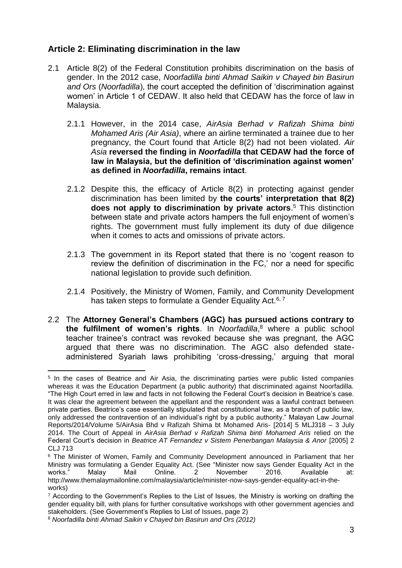## **Article 2: Eliminating discrimination in the law**

- 2.1 Article 8(2) of the Federal Constitution prohibits discrimination on the basis of gender. In the 2012 case, *Noorfadilla binti Ahmad Saikin v Chayed bin Basirun and Ors* (*Noorfadilla*), the court accepted the definition of 'discrimination against women' in Article 1 of CEDAW. It also held that CEDAW has the force of law in Malaysia.
	- 2.1.1 However, in the 2014 case, *AirAsia Berhad v Rafizah Shima binti Mohamed Aris (Air Asia)*, where an airline terminated a trainee due to her pregnancy, the Court found that Article 8(2) had not been violated. *Air Asia* **reversed the finding in** *Noorfadilla* **that CEDAW had the force of law in Malaysia, but the definition of 'discrimination against women' as defined in** *Noorfadilla***, remains intact**.
	- 2.1.2 Despite this, the efficacy of Article 8(2) in protecting against gender discrimination has been limited by **the courts' interpretation that 8(2) does not apply to discrimination by private actors**. <sup>5</sup> This distinction between state and private actors hampers the full enjoyment of women's rights. The government must fully implement its duty of due diligence when it comes to acts and omissions of private actors.
	- 2.1.3 The government in its Report stated that there is no 'cogent reason to review the definition of discrimination in the FC,' nor a need for specific national legislation to provide such definition.
	- 2.1.4 Positively, the Ministry of Women, Family, and Community Development has taken steps to formulate a Gender Equality Act.<sup>6, 7</sup>
- 2.2 The **Attorney General's Chambers (AGC) has pursued actions contrary to the fulfilment of women's rights**. In *Noorfadilla*, <sup>8</sup> where a public school teacher trainee's contract was revoked because she was pregnant, the AGC argued that there was no discrimination. The AGC also defended stateadministered Syariah laws prohibiting 'cross-dressing,' arguing that moral

 5 In the cases of Beatrice and Air Asia, the discriminating parties were public listed companies whereas it was the Education Department (a public authority) that discriminated against Noorfadilla. "The High Court erred in law and facts in not following the Federal Court's decision in Beatrice's case. It was clear the agreement between the appellant and the respondent was a lawful contract between private parties. Beatrice's case essentially stipulated that constitutional law, as a branch of public law, only addressed the contravention of an individual's right by a public authority." Malayan Law Journal Reports/2014/Volume 5/AirAsia Bhd v Rafizah Shima bt Mohamed Aris- [2014] 5 MLJ318 – 3 July 2014. The Court of Appeal in *AirAsia Berhad v Rafizah Shima binti Mohamed Aris* relied on the Federal Court's decision in *Beatrice AT Fernandez v Sistem Penerbangan Malaysia & Anor* [2005] 2 CLJ 713

<sup>6</sup> The Minister of Women, Family and Community Development announced in Parliament that her Ministry was formulating a Gender Equality Act. (See "Minister now says Gender Equality Act in the works." Malay Mail Online. 2 November 2016. Available at: http://www.themalaymailonline.com/malaysia/article/minister-now-says-gender-equality-act-in-theworks)

 $7$  According to the Government's Replies to the List of Issues, the Ministry is working on drafting the gender equality bill, with plans for further consultative workshops with other government agencies and stakeholders. (See Government's Replies to List of Issues, page 2)

<sup>8</sup> *Noorfadilla binti Ahmad Saikin v Chayed bin Basirun and Ors (2012)*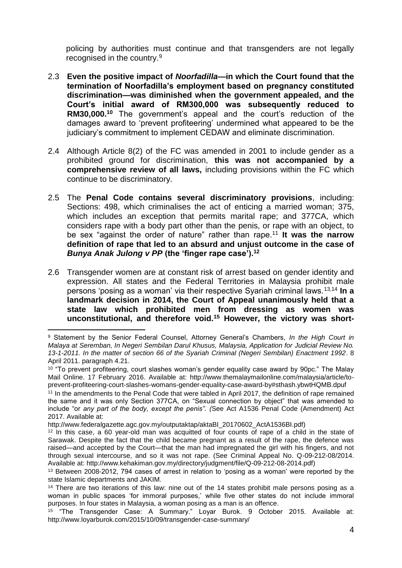policing by authorities must continue and that transgenders are not legally recognised in the country.<sup>9</sup>

- 2.3 **Even the positive impact of** *Noorfadilla***—in which the Court found that the termination of Noorfadilla's employment based on pregnancy constituted discrimination—was diminished when the government appealed, and the Court's initial award of RM300,000 was subsequently reduced to RM30,000.<sup>10</sup>** The government's appeal and the court's reduction of the damages award to 'prevent profiteering' undermined what appeared to be the judiciary's commitment to implement CEDAW and eliminate discrimination.
- 2.4 Although Article 8(2) of the FC was amended in 2001 to include gender as a prohibited ground for discrimination, **this was not accompanied by a comprehensive review of all laws,** including provisions within the FC which continue to be discriminatory.
- 2.5 The **Penal Code contains several discriminatory provisions**, including: Sections: 498, which criminalises the act of enticing a married woman; 375, which includes an exception that permits marital rape; and 377CA, which considers rape with a body part other than the penis, or rape with an object, to be sex "against the order of nature" rather than rape.<sup>11</sup> **It was the narrow definition of rape that led to an absurd and unjust outcome in the case of**  *Bunya Anak Julong v PP* **(the 'finger rape case').<sup>12</sup>**
- 2.6 Transgender women are at constant risk of arrest based on gender identity and expression. All states and the Federal Territories in Malaysia prohibit male persons 'posing as a woman' via their respective Syariah criminal laws.13,14 **In a landmark decision in 2014, the Court of Appeal unanimously held that a state law which prohibited men from dressing as women was unconstitutional, and therefore void.<sup>15</sup> However, the victory was short-**

l <sup>9</sup> Statement by the Senior Federal Counsel, Attorney General's Chambers, *In the High Court in Malaya at Seremban, In Negeri Sembilan Darul Khusus, Malaysia, Application for Judicial Review No. 13-1-2011. In the matter of section 66 of the Syariah Criminal (Negeri Sembilan) Enactment 1992*. 8 April 2011. paragraph 4.21.

 $^{\text{10}}$  "To prevent profiteering, court slashes woman's gender equality case award by 90pc." The Malay Mail Online. 17 February 2016. Available at: http://www.themalaymailonline.com/malaysia/article/toprevent-profiteering-court-slashes-womans-gender-equality-case-award-by#sthash.ybwtHQMB.dpuf

<sup>11</sup> In the amendments to the Penal Code that were tabled in April 2017, the definition of rape remained the same and it was only Section 377CA, on "Sexual connection by object" that was amended to include "or *any part of the body, except the penis". (*See Act A1536 Penal Code (Amendment) Act 2017. Available at:

http://www.federalgazette.agc.gov.my/outputaktap/aktaBI\_20170602\_ActA1536BI.pdf)

<sup>12</sup> In this case, a 60 year-old man was acquitted of four counts of rape of a child in the state of Sarawak. Despite the fact that the child became pregnant as a result of the rape, the defence was raised—and accepted by the Court—that the man had impregnated the girl with his fingers, and not through sexual intercourse, and so it was not rape. (See Criminal Appeal No. Q-09-212-08/2014. Available at: [http://www.kehakiman.gov.my/directory/judgment/file/Q-09-212-08-2014.pdf\)](http://www.kehakiman.gov.my/directory/judgment/file/Q-09-212-08-2014.pdf)

<sup>&</sup>lt;sup>13</sup> Between 2008-2012, 794 cases of arrest in relation to 'posing as a woman' were reported by the state Islamic departments and JAKIM.

<sup>&</sup>lt;sup>14</sup> There are two iterations of this law: nine out of the 14 states prohibit male persons posing as a woman in public spaces 'for immoral purposes,' while five other states do not include immoral purposes. In four states in Malaysia, a woman posing as a man is an offence.

<sup>15</sup> "The Transgender Case: A Summary." Loyar Burok. 9 October 2015. Available at: http://www.loyarburok.com/2015/10/09/transgender-case-summary/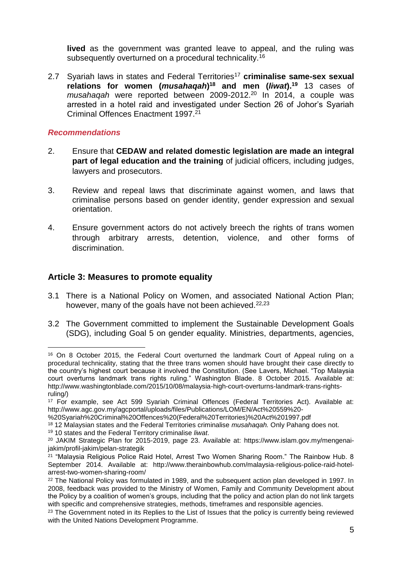**lived** as the government was granted leave to appeal, and the ruling was subsequently overturned on a procedural technicality.<sup>16</sup>

2.7 Syariah laws in states and Federal Territories<sup>17</sup> criminalise same-sex sexual **relations for women (***musahaqah***) <sup>18</sup> and men (***liwat***).<sup>19</sup>** 13 cases of *musahaqah* were reported between 2009-2012.<sup>20</sup> In 2014, a couple was arrested in a hotel raid and investigated under Section 26 of Johor's Syariah Criminal Offences Enactment 1997.<sup>21</sup>

### *Recommendations*

- 2. Ensure that **CEDAW and related domestic legislation are made an integral part of legal education and the training** of judicial officers, including judges, lawyers and prosecutors.
- 3. Review and repeal laws that discriminate against women, and laws that criminalise persons based on gender identity, gender expression and sexual orientation.
- 4. Ensure government actors do not actively breech the rights of trans women through arbitrary arrests, detention, violence, and other forms of discrimination.

### **Article 3: Measures to promote equality**

- 3.1 There is a National Policy on Women, and associated National Action Plan; however, many of the goals have not been achieved.<sup>22,23</sup>
- 3.2 The Government committed to implement the Sustainable Development Goals (SDG), including Goal 5 on gender equality. Ministries, departments, agencies,

<sup>19</sup> 10 states and the Federal Territory criminalise *liwat*.

l <sup>16</sup> On 8 October 2015, the Federal Court overturned the landmark Court of Appeal ruling on a procedural technicality, stating that the three trans women should have brought their case directly to the country's highest court because it involved the Constitution. (See Lavers, Michael. "Top Malaysia court overturns landmark trans rights ruling." Washington Blade. 8 October 2015. Available at: http://www.washingtonblade.com/2015/10/08/malaysia-high-court-overturns-landmark-trans-rightsruling/)

<sup>&</sup>lt;sup>17</sup> For example, see Act 599 Syariah Criminal Offences (Federal Territories Act). Available at: http://www.agc.gov.my/agcportal/uploads/files/Publications/LOM/EN/Act%20559%20-

<sup>%20</sup>Syariah%20Criminal%20Offences%20(Federal%20Territories)%20Act%201997.pdf

<sup>18</sup> 12 Malaysian states and the Federal Territories criminalise *musahaqah.* Only Pahang does not.

<sup>20</sup> JAKIM Strategic Plan for 2015-2019, page 23. Available at: https://www.islam.gov.my/mengenaijakim/profil-jakim/pelan-strategik

<sup>21</sup> "Malaysia Religious Police Raid Hotel, Arrest Two Women Sharing Room." The Rainbow Hub. 8 September 2014. Available at: http://www.therainbowhub.com/malaysia-religious-police-raid-hotelarrest-two-women-sharing-room/

<sup>&</sup>lt;sup>22</sup> The National Policy was formulated in 1989, and the subsequent action plan developed in 1997. In 2008, feedback was provided to the Ministry of Women, Family and Community Development about the Policy by a coalition of women's groups, including that the policy and action plan do not link targets with specific and comprehensive strategies, methods, timeframes and responsible agencies.

<sup>&</sup>lt;sup>23</sup> The Government noted in its Replies to the List of Issues that the policy is currently being reviewed with the United Nations Development Programme.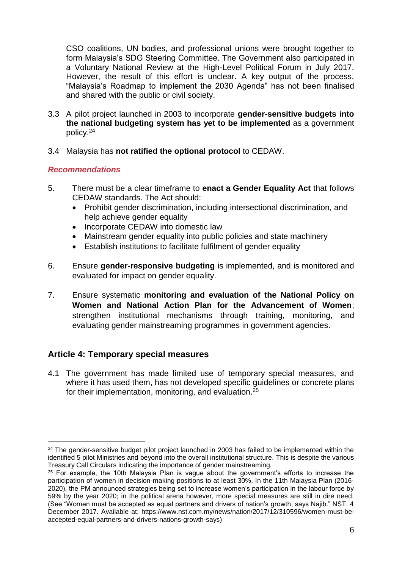CSO coalitions, UN bodies, and professional unions were brought together to form Malaysia's SDG Steering Committee. The Government also participated in a Voluntary National Review at the High-Level Political Forum in July 2017. However, the result of this effort is unclear. A key output of the process, "Malaysia's Roadmap to implement the 2030 Agenda" has not been finalised and shared with the public or civil society.

- 3.3 A pilot project launched in 2003 to incorporate **gender-sensitive budgets into the national budgeting system has yet to be implemented** as a government policy.<sup>24</sup>
- 3.4 Malaysia has **not ratified the optional protocol** to CEDAW.

### *Recommendations*

- 5. There must be a clear timeframe to **enact a Gender Equality Act** that follows CEDAW standards. The Act should:
	- Prohibit gender discrimination, including intersectional discrimination, and help achieve gender equality
	- Incorporate CEDAW into domestic law
	- Mainstream gender equality into public policies and state machinery
	- Establish institutions to facilitate fulfilment of gender equality
- 6. Ensure **gender-responsive budgeting** is implemented, and is monitored and evaluated for impact on gender equality.
- 7. Ensure systematic **monitoring and evaluation of the National Policy on Women and National Action Plan for the Advancement of Women**; strengthen institutional mechanisms through training, monitoring, and evaluating gender mainstreaming programmes in government agencies.

# **Article 4: Temporary special measures**

4.1 The government has made limited use of temporary special measures, and where it has used them, has not developed specific guidelines or concrete plans for their implementation, monitoring, and evaluation.<sup>25</sup>

 $\overline{a}$  $24$  The gender-sensitive budget pilot project launched in 2003 has failed to be implemented within the identified 5 pilot Ministries and beyond into the overall institutional structure. This is despite the various Treasury Call Circulars indicating the importance of gender mainstreaming.

 $25$  For example, the 10th Malaysia Plan is vague about the government's efforts to increase the participation of women in decision-making positions to at least 30%. In the 11th Malaysia Plan (2016- 2020), the PM announced strategies being set to increase women's participation in the labour force by 59% by the year 2020; in the political arena however, more special measures are still in dire need. (See "Women must be accepted as equal partners and drivers of nation's growth, says Najib." NST. 4 December 2017. Available at: https://www.nst.com.my/news/nation/2017/12/310596/women-must-beaccepted-equal-partners-and-drivers-nations-growth-says)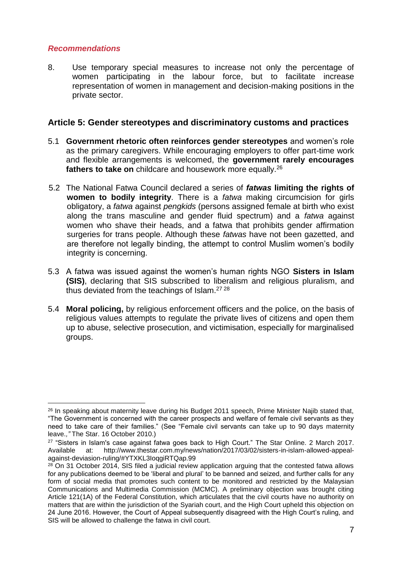8. Use temporary special measures to increase not only the percentage of women participating in the labour force, but to facilitate increase representation of women in management and decision-making positions in the private sector.

### **Article 5: Gender stereotypes and discriminatory customs and practices**

- 5.1 **Government rhetoric often reinforces gender stereotypes** and women's role as the primary caregivers. While encouraging employers to offer part-time work and flexible arrangements is welcomed, the **government rarely encourages fathers to take on** childcare and housework more equally.<sup>26</sup>
- 5.2 The National Fatwa Council declared a series of *fatwas* **limiting the rights of women to bodily integrity**. There is a *fatwa* making circumcision for girls obligatory, a *fatwa* against *pengkids* (persons assigned female at birth who exist along the trans masculine and gender fluid spectrum) and a *fatwa* against women who shave their heads, and a fatwa that prohibits gender affirmation surgeries for trans people. Although these *fatwas* have not been gazetted, and are therefore not legally binding, the attempt to control Muslim women's bodily integrity is concerning.
- 5.3 A fatwa was issued against the women's human rights NGO **Sisters in Islam (SIS)**, declaring that SIS subscribed to liberalism and religious pluralism, and thus deviated from the teachings of Islam.<sup>27</sup> <sup>28</sup>
- 5.4 **Moral policing,** by religious enforcement officers and the police, on the basis of religious values attempts to regulate the private lives of citizens and open them up to abuse, selective prosecution, and victimisation, especially for marginalised groups.

 $\overline{a}$ <sup>26</sup> In speaking about maternity leave during his Budget 2011 speech, Prime Minister Najib stated that, "The Government is concerned with the career prospects and welfare of female civil servants as they need to take care of their families." (See "Female civil servants can take up to 90 days maternity leave.*,"* The Star. 16 October 2010.)

<sup>&</sup>lt;sup>27</sup> "Sisters in Islam's case against fatwa goes back to High Court." The Star Online. 2 March 2017. Available at: http://www.thestar.com.my/news/nation/2017/03/02/sisters-in-islam-allowed-appealagainst-deviasion-ruling/#YTXKL3IoqgiRTQap.99

<sup>&</sup>lt;sup>28</sup> On 31 October 2014, SIS filed a judicial review application arguing that the contested fatwa allows for any publications deemed to be 'liberal and plural' to be banned and seized, and further calls for any form of social media that promotes such content to be monitored and restricted by the Malaysian Communications and Multimedia Commission (MCMC). A preliminary objection was brought citing Article 121(1A) of the Federal Constitution, which articulates that the civil courts have no authority on matters that are within the jurisdiction of the Syariah court, and the High Court upheld this objection on 24 June 2016. However, the Court of Appeal subsequently disagreed with the High Court's ruling, and SIS will be allowed to challenge the fatwa in civil court.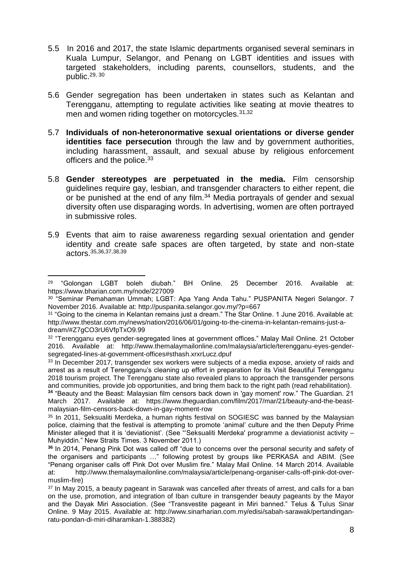- 5.5 In 2016 and 2017, the state Islamic departments organised several seminars in Kuala Lumpur, Selangor, and Penang on LGBT identities and issues with targeted stakeholders, including parents, counsellors, students, and the public.29, 30
- 5.6 Gender segregation has been undertaken in states such as Kelantan and Terengganu, attempting to regulate activities like seating at movie theatres to men and women riding together on motorcycles.<sup>31,32</sup>
- 5.7 **Individuals of non-heteronormative sexual orientations or diverse gender identities face persecution** through the law and by government authorities, including harassment, assault, and sexual abuse by religious enforcement officers and the police.<sup>33</sup>
- 5.8 **Gender stereotypes are perpetuated in the media.** Film censorship guidelines require gay, lesbian, and transgender characters to either repent, die or be punished at the end of any film.<sup>34</sup> Media portrayals of gender and sexual diversity often use disparaging words. In advertising, women are often portrayed in submissive roles.
- 5.9 Events that aim to raise awareness regarding sexual orientation and gender identity and create safe spaces are often targeted, by state and non-state actors.35,36,37,38,39

i <sup>29</sup> "Golongan LGBT boleh diubah." BH Online. 25 December 2016. Available at: https://www.bharian.com.my/node/227009

<sup>&</sup>lt;sup>30</sup> "Seminar Pemahaman Ummah; LGBT: Apa Yang Anda Tahu." PUSPANITA Negeri Selangor. 7 November 2016. Available at: http://puspanita.selangor.gov.my/?p=667

 $^{\rm 31}$  "Going to the cinema in Kelantan remains just a dream." The Star Online. 1 June 2016. Available at: http://www.thestar.com.my/news/nation/2016/06/01/going-to-the-cinema-in-kelantan-remains-just-adream/#Z7gCO3rU6VfpTxO9.99

 $32$  "Terengganu eyes gender-segregated lines at government offices." Malay Mail Online. 21 October 2016. Available at: http://www.themalaymailonline.com/malaysia/article/terengganu-eyes-gendersegregated-lines-at-government-offices#sthash.xrxrLucz.dpuf

<sup>&</sup>lt;sup>33</sup> In December 2017, transgender sex workers were subjects of a media expose, anxiety of raids and arrest as a result of Terengganu's cleaning up effort in preparation for its Visit Beautiful Terengganu 2018 tourism project. The Terengganu state also revealed plans to approach the transgender persons and communities, provide job opportunities, and bring them back to the right path (read rehabilitation).

**<sup>34</sup>** "Beauty and the Beast: Malaysian film censors back down in 'gay moment' row." The Guardian. 21 March 2017. Available at: https://www.theguardian.com/film/2017/mar/21/beauty-and-the-beastmalaysian-film-censors-back-down-in-gay-moment-row

<sup>&</sup>lt;sup>35</sup> In 2011, Seksualiti Merdeka, a human rights festival on SOGIESC was banned by the Malaysian police, claiming that the festival is attempting to promote 'animal' culture and the then Deputy Prime Minister alleged that it is 'deviationist'. (See "'Seksualiti Merdeka' programme a deviationist activity – Muhyiddin." New Straits Times. 3 November 2011.)

**<sup>36</sup>** In 2014, Penang Pink Dot was called off "due to concerns over the personal security and safety of the organisers and participants …" following protest by groups like PERKASA and ABIM. (See "Penang organiser calls off Pink Dot over Muslim fire." Malay Mail Online. 14 March 2014. Available at: http://www.themalaymailonline.com/malaysia/article/penang-organiser-calls-off-pink-dot-overmuslim-fire)

<sup>&</sup>lt;sup>37</sup> In May 2015, a beauty pageant in Sarawak was cancelled after threats of arrest, and calls for a ban on the use, promotion, and integration of Iban culture in transgender beauty pageants by the Mayor and the Dayak Miri Association. (See "Transvestite pageant in Miri banned." Telus & Tulus Sinar Online. 9 May 2015. Available at: http://www.sinarharian.com.my/edisi/sabah-sarawak/pertandinganratu-pondan-di-miri-diharamkan-1.388382)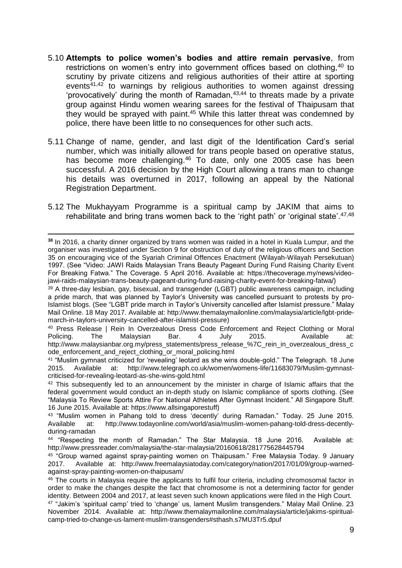- 5.10 **Attempts to police women's bodies and attire remain pervasive**, from restrictions on women's entry into government offices based on clothing, 40 to scrutiny by private citizens and religious authorities of their attire at sporting events $41,42$  to warnings by religious authorities to women against dressing 'provocatively' during the month of Ramadan,  $43,44$  to threats made by a private group against Hindu women wearing sarees for the festival of Thaipusam that they would be sprayed with paint.<sup>45</sup> While this latter threat was condemned by police, there have been little to no consequences for other such acts.
- 5.11 Change of name, gender, and last digit of the Identification Card's serial number, which was initially allowed for trans people based on operative status, has become more challenging.<sup>46</sup> To date, only one 2005 case has been successful. A 2016 decision by the High Court allowing a trans man to change his details was overturned in 2017, following an appeal by the National Registration Department.
- 5.12 The Mukhayyam Programme is a spiritual camp by JAKIM that aims to rehabilitate and bring trans women back to the 'right path' or 'original state'.<sup>47,48</sup>

<sup>39</sup> A three-day lesbian, gay, bisexual, and transgender (LGBT) public awareness campaign, including a pride march, that was planned by Taylor's University was cancelled pursuant to protests by pro-Islamist blogs. (See "LGBT pride march in Taylor's University cancelled after Islamist pressure." Malay Mail Online. 18 May 2017. Available at: http://www.themalaymailonline.com/malaysia/article/lgbt-pridemarch-in-taylors-university-cancelled-after-islamist-pressure)

<sup>40</sup> Press Release | Rein In Overzealous Dress Code Enforcement and Reject Clothing or Moral<br>Policing. The Malaysian Bar. 4 July 2015. Available at: Policing. The Malaysian Bar. 4 July 2015. Available at: [http://www.malaysianbar.org.my/press\\_statements/press\\_release\\_%7C\\_rein\\_in\\_overzealous\\_dress\\_c](http://www.malaysianbar.org.my/press_statements/press_release_%7C_rein_in_overzealous_dress_code_enforcement_and_reject_clothing_or_moral_policing.html) ode enforcement and reject clothing or moral policing.html

<sup>41</sup> "Muslim gymnast criticized for 'revealing' leotard as she wins double-gold." The Telegraph. 18 June<br>2015. Available at: http://www.telegraph.co.uk/women/womens-life/11683079/Muslim-gymnastat: [http://www.telegraph.co.uk/women/womens-life/11683079/Muslim-gymnast](http://www.telegraph.co.uk/women/womens-life/11683079/Muslim-gymnast-criticised-for-revealing-leotard-as-she-wins-gold.html)[criticised-for-revealing-leotard-as-she-wins-gold.html](http://www.telegraph.co.uk/women/womens-life/11683079/Muslim-gymnast-criticised-for-revealing-leotard-as-she-wins-gold.html)

<sup>42</sup> This subsequently led to an announcement by the minister in charge of Islamic affairs that the federal government would conduct an in-depth study on Islamic compliance of sports clothing. (See "Malaysia To Review Sports Attire For National Athletes After Gymnast Incident." All Singapore Stuff. 16 June 2015. Available at: https://www.allsingaporestuff)

i **<sup>38</sup>** In 2016, a charity dinner organized by trans women was raided in a hotel in Kuala Lumpur, and the organiser was investigated under Section 9 for obstruction of duty of the religious officers and Section 35 on encouraging vice of the Syariah Criminal Offences Enactment (Wilayah-Wilayah Persekutuan) 1997. (See "Video: JAWI Raids Malaysian Trans Beauty Pageant During Fund Raising Charity Event For Breaking Fatwa." The Coverage. 5 April 2016. Available at: https://thecoverage.my/news/videojawi-raids-malaysian-trans-beauty-pageant-during-fund-raising-charity-event-for-breaking-fatwa/)

<sup>43</sup> "Muslim women in Pahang told to dress 'decently' during Ramadan." Today. 25 June 2015. Available at: [http://www.todayonline.com/world/asia/muslim-women-pahang-told-dress-decently](http://www.todayonline.com/world/asia/muslim-women-pahang-told-dress-decently-during-ramadan)[during-ramadan](http://www.todayonline.com/world/asia/muslim-women-pahang-told-dress-decently-during-ramadan)

<sup>44</sup> "Respecting the month of Ramadan." The Star Malaysia. 18 June 2016. Available at: <http://www.pressreader.com/malaysia/the-star-malaysia/20160618/281775628445794>

<sup>45</sup> "Group warned against spray-painting women on Thaipusam." Free Malaysia Today. 9 January 2017. Available at: [http://www.freemalaysiatoday.com/category/nation/2017/01/09/group-warned](http://www.freemalaysiatoday.com/category/nation/2017/01/09/group-warned-against-spray-painting-women-on-thaipusam/)[against-spray-painting-women-on-thaipusam/](http://www.freemalaysiatoday.com/category/nation/2017/01/09/group-warned-against-spray-painting-women-on-thaipusam/)

<sup>46</sup> The courts in Malaysia require the applicants to fulfil four criteria, including chromosomal factor in order to make the changes despite the fact that chromosome is not a determining factor for gender identity. Between 2004 and 2017, at least seven such known applications were filed in the High Court.

<sup>47</sup> "Jakim's 'spiritual camp' tried to 'change' us, lament Muslim transgenders." Malay Mail Online. 23 November 2014. Available at: http://www.themalaymailonline.com/malaysia/article/jakims-spiritualcamp-tried-to-change-us-lament-muslim-transgenders#sthash.s7MU3Tr5.dpuf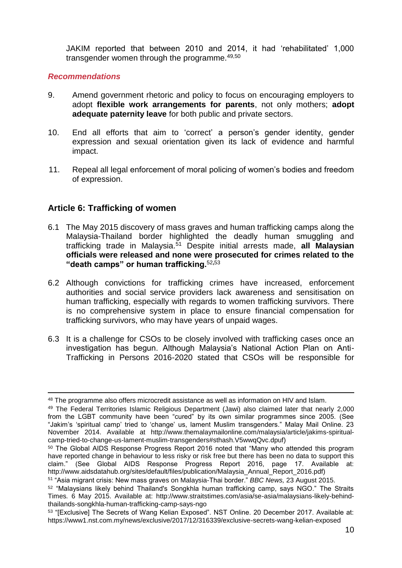JAKIM reported that between 2010 and 2014, it had 'rehabilitated' 1,000 transgender women through the programme.49,50

### *Recommendations*

- 9. Amend government rhetoric and policy to focus on encouraging employers to adopt **flexible work arrangements for parents**, not only mothers; **adopt adequate paternity leave** for both public and private sectors.
- 10. End all efforts that aim to 'correct' a person's gender identity, gender expression and sexual orientation given its lack of evidence and harmful impact.
- 11. Repeal all legal enforcement of moral policing of women's bodies and freedom of expression.

### **Article 6: Trafficking of women**

- 6.1 The May 2015 discovery of mass graves and human trafficking camps along the Malaysia-Thailand border highlighted the deadly human smuggling and trafficking trade in Malaysia.<sup>51</sup> Despite initial arrests made, **all Malaysian officials were released and none were prosecuted for crimes related to the "death camps" or human trafficking.**<sup>52</sup>**,**<sup>53</sup>
- 6.2 Although convictions for trafficking crimes have increased, enforcement authorities and social service providers lack awareness and sensitisation on human trafficking, especially with regards to women trafficking survivors. There is no comprehensive system in place to ensure financial compensation for trafficking survivors, who may have years of unpaid wages.
- 6.3 It is a challenge for CSOs to be closely involved with trafficking cases once an investigation has begun. Although Malaysia's National Action Plan on Anti-Trafficking in Persons 2016-2020 stated that CSOs will be responsible for

l 48 The programme also offers microcredit assistance as well as information on HIV and Islam.

<sup>49</sup> The Federal Territories Islamic Religious Department (Jawi) also claimed later that nearly 2,000 from the LGBT community have been "cured" by its own similar programmes since 2005. (See "Jakim's 'spiritual camp' tried to 'change' us, lament Muslim transgenders." Malay Mail Online. 23 November 2014. Available at http://www.themalaymailonline.com/malaysia/article/jakims-spiritualcamp-tried-to-change-us-lament-muslim-transgenders#sthash.V5wwqQvc.dpuf)

<sup>&</sup>lt;sup>50</sup> The Global AIDS Response Progress Report 2016 noted that "Many who attended this program have reported change in behaviour to less risky or risk free but there has been no data to support this claim." (See Global AIDS Response Progress Report 2016, page 17. Available at: http://www.aidsdatahub.org/sites/default/files/publication/Malaysia\_Annual\_Report\_2016.pdf)

<sup>51</sup> "Asia migrant crisis: New mass graves on Malaysia-Thai border." *BBC News,* 23 August 2015.

<sup>52</sup> "Malaysians likely behind Thailand's Songkhla human trafficking camp, says NGO." The Straits Times*.* 6 May 2015. Available at: http://www.straitstimes.com/asia/se-asia/malaysians-likely-behindthailands-songkhla-human-trafficking-camp-says-ngo

<sup>53 &</sup>quot;[Exclusive] The Secrets of Wang Kelian Exposed". NST Online. 20 December 2017. Available at: https://www1.nst.com.my/news/exclusive/2017/12/316339/exclusive-secrets-wang-kelian-exposed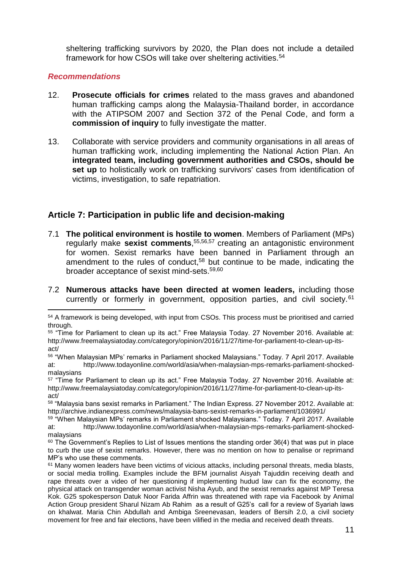sheltering trafficking survivors by 2020, the Plan does not include a detailed framework for how CSOs will take over sheltering activities.<sup>54</sup>

### *Recommendations*

- 12. **Prosecute officials for crimes** related to the mass graves and abandoned human trafficking camps along the Malaysia-Thailand border, in accordance with the ATIPSOM 2007 and Section 372 of the Penal Code, and form a **commission of inquiry** to fully investigate the matter.
- 13. Collaborate with service providers and community organisations in all areas of human trafficking work, including implementing the National Action Plan. An **integrated team, including government authorities and CSOs, should be set up** to holistically work on trafficking survivors' cases from identification of victims, investigation, to safe repatriation.

# **Article 7: Participation in public life and decision-making**

- 7.1 **The political environment is hostile to women**. Members of Parliament (MPs) regularly make **sexist comments**, 55,56,57 creating an antagonistic environment for women. Sexist remarks have been banned in Parliament through an amendment to the rules of conduct,<sup>58</sup> but continue to be made, indicating the broader acceptance of sexist mind-sets.59,60
- 7.2 **Numerous attacks have been directed at women leaders,** including those currently or formerly in government, opposition parties, and civil society.<sup>61</sup>

l <sup>54</sup> A framework is being developed, with input from CSOs. This process must be prioritised and carried through.

<sup>55</sup> "Time for Parliament to clean up its act." Free Malaysia Today. 27 November 2016. Available at: http://www.freemalaysiatoday.com/category/opinion/2016/11/27/time-for-parliament-to-clean-up-itsact/

<sup>56</sup> "When Malaysian MPs' remarks in Parliament shocked Malaysians." Today. 7 April 2017. Available at: [http://www.todayonline.com/world/asia/when-malaysian-mps-remarks-parliament-shocked](http://www.todayonline.com/world/asia/when-malaysian-mps-remarks-parliament-shocked-malaysians)[malaysians](http://www.todayonline.com/world/asia/when-malaysian-mps-remarks-parliament-shocked-malaysians)

<sup>57</sup> "Time for Parliament to clean up its act." Free Malaysia Today. 27 November 2016. Available at: [http://www.freemalaysiatoday.com/category/opinion/2016/11/27/time-for-parliament-to-clean-up-its](http://www.freemalaysiatoday.com/category/opinion/2016/11/27/time-for-parliament-to-clean-up-its-act/)[act/](http://www.freemalaysiatoday.com/category/opinion/2016/11/27/time-for-parliament-to-clean-up-its-act/)

<sup>58</sup> "Malaysia bans sexist remarks in Parliament." The Indian Express. 27 November 2012. Available at: <http://archive.indianexpress.com/news/malaysia-bans-sexist-remarks-in-parliament/1036991/>

<sup>59</sup> "When Malaysian MPs' remarks in Parliament shocked Malaysians." Today. 7 April 2017. Available at: [http://www.todayonline.com/world/asia/when-malaysian-mps-remarks-parliament-shocked](http://www.todayonline.com/world/asia/when-malaysian-mps-remarks-parliament-shocked-malaysians)[malaysians](http://www.todayonline.com/world/asia/when-malaysian-mps-remarks-parliament-shocked-malaysians)

 $60$  The Government's Replies to List of Issues mentions the standing order 36(4) that was put in place to curb the use of sexist remarks. However, there was no mention on how to penalise or reprimand MP's who use these comments.

 $61$  Many women leaders have been victims of vicious attacks, including personal threats, media blasts, or social media trolling. Examples include the BFM journalist Aisyah Tajuddin receiving death and rape threats over a video of her questioning if implementing hudud law can fix the economy, the physical attack on transgender woman activist Nisha Ayub, and the sexist remarks against MP Teresa Kok. G25 spokesperson Datuk Noor Farida Affrin was threatened with rape via Facebook by Animal Action Group president Sharul Nizam Ab Rahim as a result of G25's call for a review of Syariah laws on khalwat. Maria Chin Abdullah and Ambiga Sreenevasan, leaders of Bersih 2.0, a civil society movement for free and fair elections, have been vilified in the media and received death threats.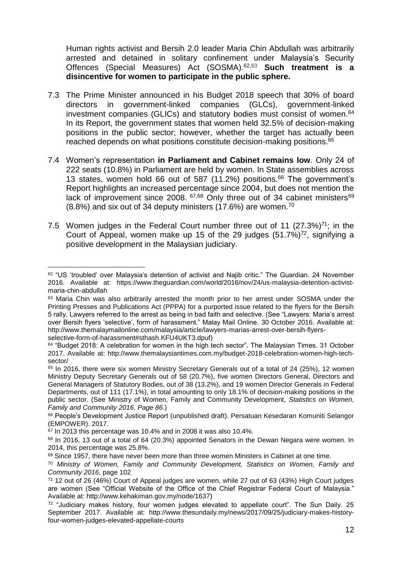Human rights activist and Bersih 2.0 leader Maria Chin Abdullah was arbitrarily arrested and detained in solitary confinement under Malaysia's Security Offences (Special Measures) Act (SOSMA).62,63 **Such treatment is a disincentive for women to participate in the public sphere.**

- 7.3 The Prime Minister announced in his Budget 2018 speech that 30% of board directors in government-linked companies (GLCs), government-linked investment companies (GLICs) and statutory bodies must consist of women.<sup>64</sup> In its Report, the government states that women held 32.5% of decision-making positions in the public sector; however, whether the target has actually been reached depends on what positions constitute decision-making positions.<sup>65</sup>
- 7.4 Women's representation **in Parliament and Cabinet remains low**. Only 24 of 222 seats (10.8%) in Parliament are held by women. In State assemblies across 13 states, women hold 66 out of 587 (11.2%) positions.<sup>66</sup> The government's Report highlights an increased percentage since 2004, but does not mention the lack of improvement since 2008.  $67,68$  Only three out of 34 cabinet ministers<sup>69</sup> (8.8%) and six out of 34 deputy ministers (17.6%) are women.<sup>70</sup>
- 7.5 Women judges in the Federal Court number three out of 11  $(27.3\%)^{71}$ ; in the Court of Appeal, women make up 15 of the 29 judges  $(51.7%)^{72}$ , signifying a positive development in the Malaysian judiciary.

l <sup>62</sup> "US 'troubled' over Malaysia's detention of activist and Najib critic." The Guardian. 24 November 2016. Available at: https://www.theguardian.com/world/2016/nov/24/us-malaysia-detention-activistmaria-chin-abdullah

<sup>&</sup>lt;sup>63</sup> Maria Chin was also arbitrarily arrested the month prior to her arrest under SOSMA under the Printing Presses and Publications Act (PPPA) for a purported issue related to the flyers for the Bersih 5 rally. Lawyers referred to the arrest as being in bad faith and selective. (See "Lawyers: Maria's arrest over Bersih flyers 'selective', form of harassment." Malay Mail Online. 30 October 2016. Available at: http://www.themalaymailonline.com/malaysia/article/lawyers-marias-arrest-over-bersih-flyersselective-form-of-harassment#sthash.KFU4UKT3.dpuf)

 $64$  "Budget 2018: A celebration for women in the high tech sector". The Malaysian Times. 31 October 2017. Available at: http://www.themalaysiantimes.com.my/budget-2018-celebration-women-high-techsector/

<sup>&</sup>lt;sup>65</sup> In 2016, there were six women Ministry Secretary Generals out of a total of 24 (25%), 12 women Ministry Deputy Secretary Generals out of 58 (20.7%), five women Directors General, Directors and General Managers of Statutory Bodies, out of 38 (13.2%), and 19 women Director Generals in Federal Departments, out of 111 (17.1%), in total amounting to only 18.1% of decision-making positions in the public sector. (See Ministry of Women, Family and Community Development, *Statistics on Women, Family and Community 2016. Page 86*.)

<sup>66</sup> People's Development Justice Report (unpublished draft). Persatuan Kesedaran Komuniti Selangor (EMPOWER). 2017.

<sup>67</sup> In 2013 this percentage was 10.4% and in 2008 it was also 10.4%.

<sup>68</sup> In 2016, 13 out of a total of 64 (20.3%) appointed Senators in the Dewan Negara were women. In 2014, this percentage was 25.8%.

 $69$  Since 1957, there have never been more than three women Ministers in Cabinet at one time.

<sup>70</sup> *Ministry of Women, Family and Community Development, Statistics on Women, Family and Community 2016*, page 102

<sup>71</sup> 12 out of 26 (46%) Court of Appeal judges are women, while 27 out of 63 (43%) High Court judges are women (See "Official Website of the Office of the Chief Registrar Federal Court of Malaysia." Available at: http://www.kehakiman.gov.my/node/1637)

<sup>72 &</sup>quot;Judiciary makes history, four women judges elevated to appellate court". The Sun Daily. 25 September 2017. Available at: http://www.thesundaily.my/news/2017/09/25/judiciary-makes-historyfour-women-judges-elevated-appellate-courts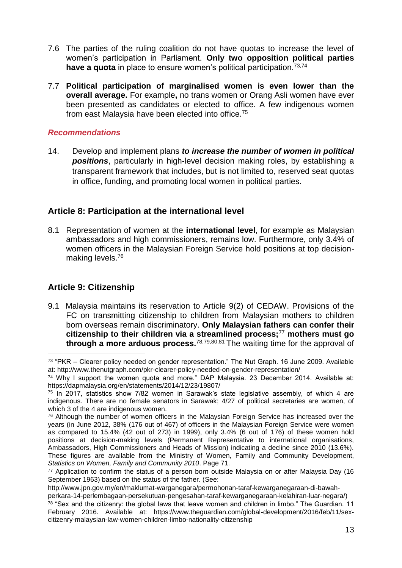- 7.6 The parties of the ruling coalition do not have quotas to increase the level of women's participation in Parliament. **Only two opposition political parties have a quota** in place to ensure women's political participation. 73,74
- 7.7 **Political participation of marginalised women is even lower than the overall average.** For example**,** no trans women or Orang Asli women have ever been presented as candidates or elected to office. A few indigenous women from east Malaysia have been elected into office.<sup>75</sup>

14. Develop and implement plans *to increase the number of women in political positions*, particularly in high-level decision making roles, by establishing a transparent framework that includes, but is not limited to, reserved seat quotas in office, funding, and promoting local women in political parties.

## **Article 8: Participation at the international level**

8.1 Representation of women at the **international level**, for example as Malaysian ambassadors and high commissioners, remains low. Furthermore, only 3.4% of women officers in the Malaysian Foreign Service hold positions at top decisionmaking levels.<sup>76</sup>

# **Article 9: Citizenship**

9.1 Malaysia maintains its reservation to Article 9(2) of CEDAW. Provisions of the FC on transmitting citizenship to children from Malaysian mothers to children born overseas remain discriminatory. **Only Malaysian fathers can confer their citizenship to their children via a streamlined process;**<sup>77</sup> **mothers must go through a more arduous process.**78,79,80,81 The waiting time for the approval of

l <sup>73</sup> "PKR – Clearer policy needed on gender representation." The Nut Graph. 16 June 2009. Available at:<http://www.thenutgraph.com/pkr-clearer-policy-needed-on-gender-representation/>

<sup>74</sup> Why I support the women quota and more." DAP Malaysia. 23 December 2014. Available at: https://dapmalaysia.org/en/statements/2014/12/23/19807/

 $75$  In 2017, statistics show 7/82 women in Sarawak's state legislative assembly, of which 4 are indigenous. There are no female senators in Sarawak; 4/27 of political secretaries are women, of which 3 of the 4 are indigenous women.

<sup>&</sup>lt;sup>76</sup> Although the number of women officers in the Malaysian Foreign Service has increased over the years (in June 2012, 38% (176 out of 467) of officers in the Malaysian Foreign Service were women as compared to 15.4% (42 out of 273) in 1999), only 3.4% (6 out of 176) of these women hold positions at decision-making levels (Permanent Representative to international organisations, Ambassadors, High Commissioners and Heads of Mission) indicating a decline since 2010 (13.6%). These figures are available from the Ministry of Women, Family and Community Development, *Statistics on Women, Family and Community 2010*. Page 71.

<sup>77</sup> Application to confirm the status of a person born outside Malaysia on or after Malaysia Day (16 September 1963) based on the status of the father. (See:

http://www.jpn.gov.my/en/maklumat-warganegara/permohonan-taraf-kewarganegaraan-di-bawahperkara-14-perlembagaan-persekutuan-pengesahan-taraf-kewarganegaraan-kelahiran-luar-negara/)

 $78$  "Sex and the citizenry: the global laws that leave women and children in limbo." The Guardian. 11 February 2016. Available at: https://www.theguardian.com/global-development/2016/feb/11/sexcitizenry-malaysian-law-women-children-limbo-nationality-citizenship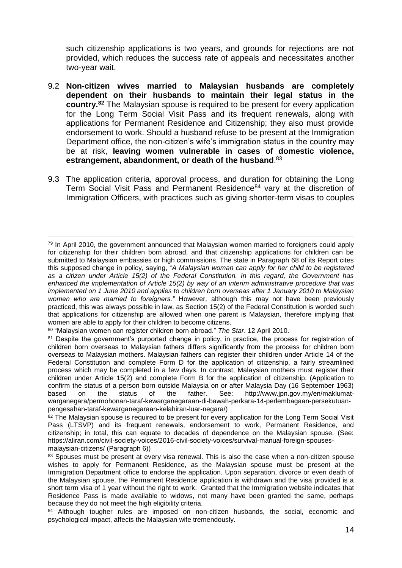such citizenship applications is two years, and grounds for rejections are not provided, which reduces the success rate of appeals and necessitates another two-year wait.

- 9.2 **Non-citizen wives married to Malaysian husbands are completely dependent on their husbands to maintain their legal status in the country.<sup>82</sup>** The Malaysian spouse is required to be present for every application for the Long Term Social Visit Pass and its frequent renewals, along with applications for Permanent Residence and Citizenship; they also must provide endorsement to work. Should a husband refuse to be present at the Immigration Department office, the non-citizen's wife's immigration status in the country may be at risk, **leaving women vulnerable in cases of domestic violence, estrangement, abandonment, or death of the husband**. 83
- 9.3 The application criteria, approval process, and duration for obtaining the Long Term Social Visit Pass and Permanent Residence<sup>84</sup> vary at the discretion of Immigration Officers, with practices such as giving shorter-term visas to couples

l  $79$  In April 2010, the government announced that Malaysian women married to foreigners could apply for citizenship for their children born abroad, and that citizenship applications for children can be submitted to Malaysian embassies or high commissions. The state in Paragraph 68 of its Report cites this supposed change in policy, saying, "*A Malaysian woman can apply for her child to be registered as a citizen under Article 15(2) of the Federal Constitution. In this regard, the Government has enhanced the implementation of Article 15(2) by way of an interim administrative procedure that was implemented on 1 June 2010 and applies to children born overseas after 1 January 2010 to Malaysian women who are married to foreigners."* However, although this may not have been previously practiced, this was always possible in law, as Section 15(2) of the Federal Constitution is worded such that applications for citizenship are allowed when one parent is Malaysian, therefore implying that women are able to apply for their children to become citizens.

<sup>80</sup> "Malaysian women can register children born abroad." *The Star*. 12 April 2010.

<sup>&</sup>lt;sup>81</sup> Despite the government's purported change in policy, in practice, the process for registration of children born overseas to Malaysian fathers differs significantly from the process for children born overseas to Malaysian mothers. Malaysian fathers can register their children under Article 14 of the Federal Constitution and complete Form D for the application of citizenship, a fairly streamlined process which may be completed in a few days. In contrast, Malaysian mothers must register their children under Article 15(2) and complete Form B for the application of citizenship. (Application to confirm the status of a person born outside Malaysia on or after Malaysia Day (16 September 1963) based on the status of the father. See: [http://www.jpn.gov.my/en/maklumat](http://www.jpn.gov.my/en/maklumat-warganegara/permohonan-taraf-kewarganegaraan-di-bawah-)[warganegara/permohonan-taraf-kewarganegaraan-di-bawah-p](http://www.jpn.gov.my/en/maklumat-warganegara/permohonan-taraf-kewarganegaraan-di-bawah-)erkara-14-perlembagaan-persekutuanpengesahan-taraf-kewarganegaraan-kelahiran-luar-negara/)

<sup>&</sup>lt;sup>82</sup> The Malaysian spouse is required to be present for every application for the Long Term Social Visit Pass (LTSVP) and its frequent renewals, endorsement to work, Permanent Residence, and citizenship; in total, this can equate to decades of dependence on the Malaysian spouse. (See: [https://aliran.com/civil-society-voices/2016-civil-society-voices/survival-manual-foreign-spouses](https://aliran.com/civil-society-voices/2016-civil-society-voices/survival-manual-foreign-spouses-malaysian-citizens/)[malaysian-citizens/](https://aliran.com/civil-society-voices/2016-civil-society-voices/survival-manual-foreign-spouses-malaysian-citizens/) (Paragraph 6))

<sup>83</sup> Spouses must be present at every visa renewal. This is also the case when a non-citizen spouse wishes to apply for Permanent Residence, as the Malaysian spouse must be present at the Immigration Department office to endorse the application. Upon separation, divorce or even death of the Malaysian spouse, the Permanent Residence application is withdrawn and the visa provided is a short term visa of 1 year without the right to work. Granted that the Immigration website indicates that Residence Pass is made available to widows, not many have been granted the same, perhaps because they do not meet the high eligibility criteria.

<sup>&</sup>lt;sup>84</sup> Although tougher rules are imposed on non-citizen husbands, the social, economic and psychological impact, affects the Malaysian wife tremendously.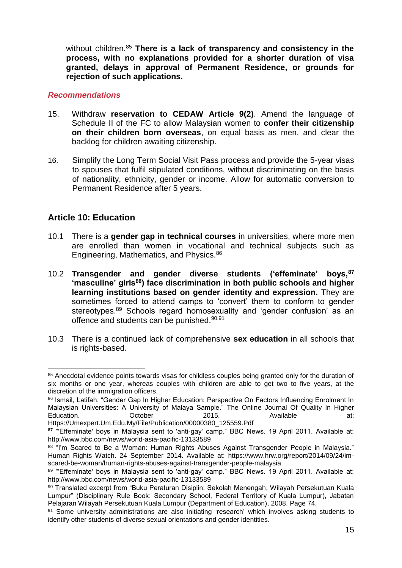without children.<sup>85</sup> **There is a lack of transparency and consistency in the process, with no explanations provided for a shorter duration of visa granted, delays in approval of Permanent Residence, or grounds for rejection of such applications.** 

### *Recommendations*

- 15. Withdraw **reservation to CEDAW Article 9(2)**. Amend the language of Schedule II of the FC to allow Malaysian women to **confer their citizenship on their children born overseas**, on equal basis as men, and clear the backlog for children awaiting citizenship.
- 16. Simplify the Long Term Social Visit Pass process and provide the 5-year visas to spouses that fulfil stipulated conditions, without discriminating on the basis of nationality, ethnicity, gender or income. Allow for automatic conversion to Permanent Residence after 5 years.

## **Article 10: Education**

- 10.1 There is a **gender gap in technical courses** in universities, where more men are enrolled than women in vocational and technical subjects such as Engineering, Mathematics, and Physics.<sup>86</sup>
- 10.2 **Transgender and gender diverse students ('effeminate' boys,<sup>87</sup> 'masculine' girls<sup>88</sup>) face discrimination in both public schools and higher learning institutions based on gender identity and expression.** They are sometimes forced to attend camps to 'convert' them to conform to gender stereotypes.<sup>89</sup> Schools regard homosexuality and 'gender confusion' as an offence and students can be punished.<sup>90,91</sup>
- 10.3 There is a continued lack of comprehensive **sex education** in all schools that is rights-based.

 $\overline{a}$ 85 Anecdotal evidence points towards visas for childless couples being granted only for the duration of six months or one year, whereas couples with children are able to get two to five years, at the discretion of the immigration officers.

<sup>86</sup> Ismail, Latifah. "Gender Gap In Higher Education: Perspective On Factors Influencing Enrolment In Malaysian Universities: A University of Malaya Sample." The Online Journal Of Quality In Higher Education. October 2015. Available at: Https://Umexpert.Um.Edu.My/File/Publication/00000380\_125559.Pdf

**<sup>87</sup>** "'Effeminate' boys in Malaysia sent to 'anti-gay' camp." BBC News. 19 April 2011. Available at: http://www.bbc.com/news/world-asia-pacific-13133589

<sup>88 &</sup>quot;I'm Scared to Be a Woman: Human Rights Abuses Against Transgender People in Malaysia." Human Rights Watch. 24 September 2014. Available at: https://www.hrw.org/report/2014/09/24/imscared-be-woman/human-rights-abuses-against-transgender-people-malaysia

<sup>89 &</sup>quot;Effeminate' boys in Malaysia sent to 'anti-gay' camp." BBC News. 19 April 2011. Available at: http://www.bbc.com/news/world-asia-pacific-13133589

<sup>90</sup> Translated excerpt from "Buku Peraturan Disiplin: Sekolah Menengah, Wilayah Persekutuan Kuala Lumpur" (Disciplinary Rule Book: Secondary School, Federal Territory of Kuala Lumpur), Jabatan Pelajaran Wilayah Persekutuan Kuala Lumpur (Department of Education), 2008. Page 74.

<sup>91</sup> Some university administrations are also initiating 'research' which involves asking students to identify other students of diverse sexual orientations and gender identities.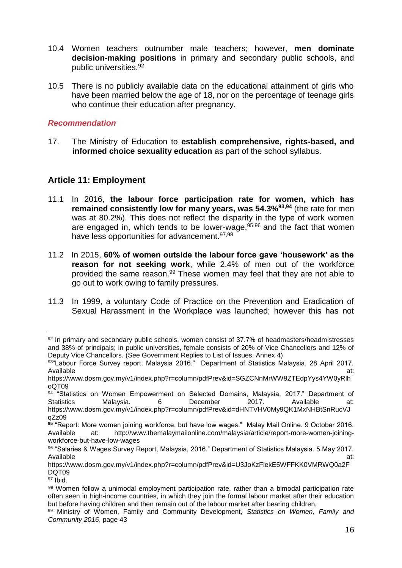- 10.4 Women teachers outnumber male teachers; however, **men dominate decision-making positions** in primary and secondary public schools, and public universities.<sup>92</sup>
- 10.5 There is no publicly available data on the educational attainment of girls who have been married below the age of 18, nor on the percentage of teenage girls who continue their education after pregnancy.

17. The Ministry of Education to **establish comprehensive, rights-based, and informed choice sexuality education** as part of the school syllabus.

# **Article 11: Employment**

- 11.1 In 2016, **the labour force participation rate for women, which has remained consistently low for many years, was 54.3%93,94** (the rate for men was at 80.2%). This does not reflect the disparity in the type of work women are engaged in, which tends to be lower-wage,  $95,96$  and the fact that women have less opportunities for advancement.<sup>97,98</sup>
- 11.2 In 2015, **60% of women outside the labour force gave 'housework' as the reason for not seeking work**, while 2.4% of men out of the workforce provided the same reason.<sup>99</sup> These women may feel that they are not able to go out to work owing to family pressures.
- 11.3 In 1999, a voluntary Code of Practice on the Prevention and Eradication of Sexual Harassment in the Workplace was launched; however this has not

l 92 In primary and secondary public schools, women consist of 37.7% of headmasters/headmistresses and 38% of principals; in public universities, female consists of 20% of Vice Chancellors and 12% of Deputy Vice Chancellors. (See Government Replies to List of Issues, Annex 4)

<sup>93&</sup>quot;Labour Force Survey report, Malaysia 2016." Department of Statistics Malaysia. 28 April 2017. Available at: the contract of the contract of the contract of the contract of the contract of the contract of the contract of the contract of the contract of the contract of the contract of the contract of the contract of

https://www.dosm.gov.my/v1/index.php?r=column/pdfPrev&id=SGZCNnMrWW9ZTEdpYys4YW0yRlh oQT09

<sup>94 &</sup>quot;Statistics on Women Empowerment on Selected Domains, Malaysia, 2017." Department of Statistics Malaysia. 6 December 2017. Available at:

https://www.dosm.gov.my/v1/index.php?r=column/pdfPrev&id=dHNTVHV0My9QK1MxNHBtSnRucVJ qZz09

**<sup>95</sup>** "Report: More women joining workforce, but have low wages." Malay Mail Online. 9 October 2016. Available at: http://www.themalaymailonline.com/malaysia/article/report-more-women-joiningworkforce-but-have-low-wages

<sup>96</sup> "Salaries & Wages Survey Report, Malaysia, 2016." Department of Statistics Malaysia. 5 May 2017. Available at: the contract of the contract of the contract of the contract of the contract of the contract of the contract of the contract of the contract of the contract of the contract of the contract of the contract of

https://www.dosm.gov.my/v1/index.php?r=column/pdfPrev&id=U3JoKzFiekE5WFFKK0VMRWQ0a2F DQT09

<sup>97</sup> Ibid.

<sup>98</sup> Women follow a unimodal employment participation rate, rather than a bimodal participation rate often seen in high-income countries, in which they join the formal labour market after their education but before having children and then remain out of the labour market after bearing children.

<sup>99</sup> Ministry of Women, Family and Community Development*, Statistics on Women, Family and Community 2016*, page 43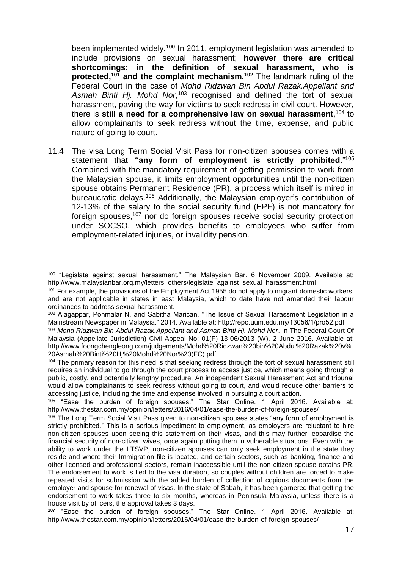been implemented widely.<sup>100</sup> In 2011, employment legislation was amended to include provisions on sexual harassment; **however there are critical shortcomings: in the definition of sexual harassment, who is protected,<sup>101</sup> and the complaint mechanism.<sup>102</sup>** The landmark ruling of the Federal Court in the case of *Mohd Ridzwan Bin Abdul Razak.Appellant and*  Asmah Binti Hj. Mohd Nor,<sup>103</sup> recognised and defined the tort of sexual harassment, paving the way for victims to seek redress in civil court. However, there is **still a need for a comprehensive law on sexual harassment**, <sup>104</sup> to allow complainants to seek redress without the time, expense, and public nature of going to court.

11.4 The visa Long Term Social Visit Pass for non-citizen spouses comes with a statement that **"any form of employment is strictly prohibited**."<sup>105</sup> Combined with the mandatory requirement of getting permission to work from the Malaysian spouse, it limits employment opportunities until the non-citizen spouse obtains Permanent Residence (PR), a process which itself is mired in bureaucratic delays.<sup>106</sup> Additionally, the Malaysian employer's contribution of 12-13% of the salary to the social security fund (EPF) is not mandatory for foreign spouses,<sup>107</sup> nor do foreign spouses receive social security protection under SOCSO, which provides benefits to employees who suffer from employment-related injuries, or invalidity pension.

l <sup>100</sup> "Legislate against sexual harassment." The Malaysian Bar. 6 November 2009. Available at: http://www.malaysianbar.org.my/letters\_others/legislate\_against\_sexual\_harassment.html

<sup>&</sup>lt;sup>101</sup> For example, the provisions of the Employment Act 1955 do not apply to migrant domestic workers, and are not applicable in states in east Malaysia, which to date have not amended their labour ordinances to address sexual harassment.

<sup>102</sup> Alagappar, Ponmalar N. and Sabitha Marican. "The Issue of Sexual Harassment Legislation in a Mainstream Newspaper in Malaysia." 2014. Available at: http://repo.uum.edu.my/13056/1/pro52.pdf

<sup>103</sup> *Mohd Ridzwan Bin Abdul Razak.Appellant and Asmah Binti Hj. Mohd Nor*. In The Federal Court Of Malaysia (Appellate Jurisdiction) Civil Appeal No: 01(F)-13-06/2013 (W). 2 June 2016. Available at: http://www.foongchengleong.com/judgements/Mohd%20Ridzwan%20bin%20Abdul%20Razak%20v% 20Asmah%20Binti%20Hj%20Mohd%20Nor%20(FC).pdf

<sup>&</sup>lt;sup>104</sup> The primary reason for this need is that seeking redress through the tort of sexual harassment still requires an individual to go through the court process to access justice, which means going through a public, costly, and potentially lengthy procedure. An independent Sexual Harassment Act and tribunal would allow complainants to seek redress without going to court, and would reduce other barriers to accessing justice, including the time and expense involved in pursuing a court action.

<sup>105 &</sup>quot;Ease the burden of foreign spouses." The Star Online. 1 April 2016. Available at: http://www.thestar.com.my/opinion/letters/2016/04/01/ease-the-burden-of-foreign-spouses/

<sup>&</sup>lt;sup>106</sup> The Long Term Social Visit Pass given to non-citizen spouses states "any form of employment is strictly prohibited." This is a serious impediment to employment, as employers are reluctant to hire non-citizen spouses upon seeing this statement on their visas, and this may further jeopardise the financial security of non-citizen wives, once again putting them in vulnerable situations. Even with the ability to work under the LTSVP, non-citizen spouses can only seek employment in the state they reside and where their Immigration file is located, and certain sectors, such as banking, finance and other licensed and professional sectors, remain inaccessible until the non-citizen spouse obtains PR. The endorsement to work is tied to the visa duration, so couples without children are forced to make repeated visits for submission with the added burden of collection of copious documents from the employer and spouse for renewal of visas. In the state of Sabah, it has been garnered that getting the endorsement to work takes three to six months, whereas in Peninsula Malaysia, unless there is a house visit by officers, the approval takes 3 days.

**<sup>107</sup>** "Ease the burden of foreign spouses." The Star Online. 1 April 2016. Available at: http://www.thestar.com.my/opinion/letters/2016/04/01/ease-the-burden-of-foreign-spouses/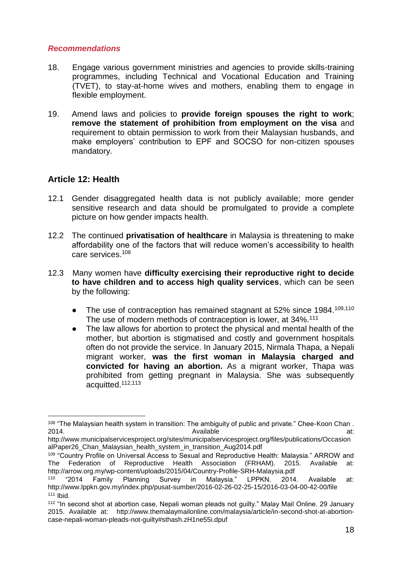- 18. Engage various government ministries and agencies to provide skills-training programmes, including Technical and Vocational Education and Training (TVET), to stay-at-home wives and mothers, enabling them to engage in flexible employment.
- 19. Amend laws and policies to **provide foreign spouses the right to work**; **remove the statement of prohibition from employment on the visa** and requirement to obtain permission to work from their Malaysian husbands, and make employers' contribution to EPF and SOCSO for non-citizen spouses mandatory.

# **Article 12: Health**

l

- 12.1 Gender disaggregated health data is not publicly available; more gender sensitive research and data should be promulgated to provide a complete picture on how gender impacts health.
- 12.2 The continued **privatisation of healthcare** in Malaysia is threatening to make affordability one of the factors that will reduce women's accessibility to health care services.<sup>108</sup>
- 12.3 Many women have **difficulty exercising their reproductive right to decide to have children and to access high quality services**, which can be seen by the following:
	- The use of contraception has remained stagnant at 52% since 1984.<sup>109,110</sup> The use of modern methods of contraception is lower, at 34%.<sup>111</sup>
	- The law allows for abortion to protect the physical and mental health of the mother, but abortion is stigmatised and costly and government hospitals often do not provide the service. In January 2015, Nirmala Thapa, a Nepali migrant worker, **was the first woman in Malaysia charged and convicted for having an abortion.** As a migrant worker, Thapa was prohibited from getting pregnant in Malaysia. She was subsequently acquitted.112,113

<sup>108 &</sup>quot;The Malaysian health system in transition: The ambiguity of public and private." Chee-Koon Chan. 2014. Available at:

http://www.municipalservicesproject.org/sites/municipalservicesproject.org/files/publications/Occasion alPaper26\_Chan\_Malaysian\_health\_system\_in\_transition\_Aug2014.pdf

<sup>109</sup> "Country Profile on Universal Access to Sexual and Reproductive Health: Malaysia." ARROW and The Federation of Reproductive Health Association (FRHAM). 2015. Available at: http://arrow.org.my/wp-content/uploads/2015/04/Country-Profile-SRH-Malaysia.pdf

<sup>110</sup> "2014 Family Planning Survey in Malaysia." LPPKN. 2014. Available at: http://www.lppkn.gov.my/index.php/pusat-sumber/2016-02-26-02-25-15/2016-03-04-00-42-00/file <sup>111</sup> Ibid.

<sup>&</sup>lt;sup>112</sup> "In second shot at abortion case, Nepali woman pleads not guilty." Malay Mail Online. 29 January 2015. Available at: http://www.themalaymailonline.com/malaysia/article/in-second-shot-at-abortioncase-nepali-woman-pleads-not-guilty#sthash.zH1ne55i.dpuf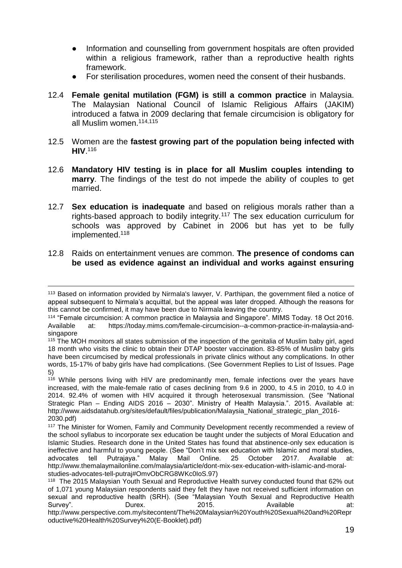- Information and counselling from government hospitals are often provided within a religious framework, rather than a reproductive health rights framework.
- For sterilisation procedures, women need the consent of their husbands.
- 12.4 **Female genital mutilation (FGM) is still a common practice** in Malaysia. The Malaysian National Council of Islamic Religious Affairs (JAKIM) introduced a fatwa in 2009 declaring that female circumcision is obligatory for all Muslim women.114,115
- 12.5 Women are the **fastest growing part of the population being infected with HIV**. 116
- 12.6 **Mandatory HIV testing is in place for all Muslim couples intending to marry**. The findings of the test do not impede the ability of couples to get married.
- 12.7 **Sex education is inadequate** and based on religious morals rather than a rights-based approach to bodily integrity.<sup>117</sup> The sex education curriculum for schools was approved by Cabinet in 2006 but has yet to be fully implemented.<sup>118</sup>
- 12.8 Raids on entertainment venues are common. **The presence of condoms can be used as evidence against an individual and works against ensuring**

l <sup>113</sup> Based on information provided by Nirmala's lawyer, V. Parthipan, the government filed a notice of appeal subsequent to Nirmala's acquittal, but the appeal was later dropped. Although the reasons for this cannot be confirmed, it may have been due to Nirmala leaving the country.

<sup>114</sup> "Female circumcision: A common practice in Malaysia and Singapore". MIMS Today. 18 Oct 2016. Available at: https://today.mims.com/female-circumcision--a-common-practice-in-malaysia-andsingapore

<sup>115</sup> The MOH monitors all states submission of the inspection of the genitalia of Muslim baby girl, aged 18 month who visits the clinic to obtain their DTAP booster vaccination. 83-85% of Muslim baby girls have been circumcised by medical professionals in private clinics without any complications. In other words, 15-17% of baby girls have had complications. (See Government Replies to List of Issues. Page 5)

<sup>&</sup>lt;sup>116</sup> While persons living with HIV are predominantly men, female infections over the years have increased, with the male-female ratio of cases declining from 9.6 in 2000, to 4.5 in 2010, to 4.0 in 2014. 92.4% of women with HIV acquired it through heterosexual transmission. (See "National Strategic Plan – Ending AIDS 2016 – 2030". Ministry of Health Malaysia.". 2015. Available at: http://www.aidsdatahub.org/sites/default/files/publication/Malaysia\_National\_strategic\_plan\_2016-2030.pdf)

<sup>&</sup>lt;sup>117</sup> The Minister for Women, Family and Community Development recently recommended a review of the school syllabus to incorporate sex education be taught under the subjects of Moral Education and Islamic Studies. Research done in the United States has found that abstinence-only sex education is ineffective and harmful to young people. (See "Don't mix sex education with Islamic and moral studies, advocates tell Putrajaya." Malay Mail Online. 25 October 2017. Available at: [http://www.themalaymailonline.com/malaysia/article/dont-mix-sex-education-with-islamic-and-moral](http://www.themalaymailonline.com/malaysia/article/dont-mix-sex-education-with-islamic-and-moral-studies-advocates-tell-putraj#OmvObCRG8WKc0IoS.97)[studies-advocates-tell-putraj#OmvObCRG8WKc0IoS.97\)](http://www.themalaymailonline.com/malaysia/article/dont-mix-sex-education-with-islamic-and-moral-studies-advocates-tell-putraj#OmvObCRG8WKc0IoS.97)

<sup>118</sup> The 2015 Malaysian Youth Sexual and Reproductive Health survey conducted found that 62% out of 1,071 young Malaysian respondents said they felt they have not received sufficient information on sexual and reproductive health (SRH). (See "Malaysian Youth Sexual and Reproductive Health Survey". Durex. 2015. Available at: [http://www.perspective.com.my/sitecontent/The%20Malaysian%20Youth%20Sexual%20and%20Repr](http://www.perspective.com.my/sitecontent/The%20Malaysian%20Youth%20Sexual%20and%20Reproductive%20Health%20Survey%20(E-Booklet).pdf) [oductive%20Health%20Survey%20\(E-Booklet\).pdf\)](http://www.perspective.com.my/sitecontent/The%20Malaysian%20Youth%20Sexual%20and%20Reproductive%20Health%20Survey%20(E-Booklet).pdf)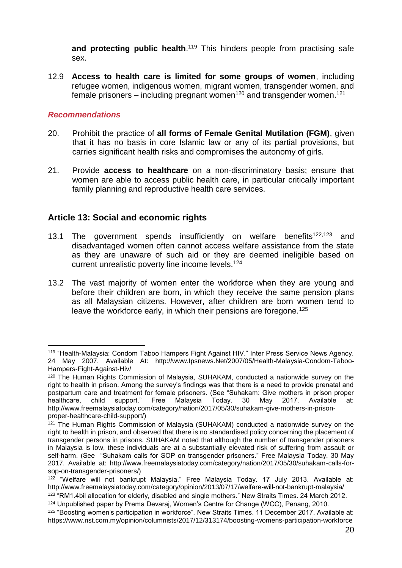and protecting public health.<sup>119</sup> This hinders people from practising safe sex.

12.9 **Access to health care is limited for some groups of women**, including refugee women, indigenous women, migrant women, transgender women, and female prisoners – including pregnant women<sup>120</sup> and transgender women.<sup>121</sup>

### *Recommendations*

- 20. Prohibit the practice of **all forms of Female Genital Mutilation (FGM)**, given that it has no basis in core Islamic law or any of its partial provisions, but carries significant health risks and compromises the autonomy of girls.
- 21. Provide **access to healthcare** on a non-discriminatory basis; ensure that women are able to access public health care, in particular critically important family planning and reproductive health care services.

## **Article 13: Social and economic rights**

- 13.1 The government spends insufficiently on welfare benefits<sup>122,123</sup> and disadvantaged women often cannot access welfare assistance from the state as they are unaware of such aid or they are deemed ineligible based on current unrealistic poverty line income levels.<sup>124</sup>
- 13.2 The vast majority of women enter the workforce when they are young and before their children are born, in which they receive the same pension plans as all Malaysian citizens. However, after children are born women tend to leave the workforce early, in which their pensions are foregone.<sup>125</sup>

l <sup>119</sup> "Health-Malaysia: Condom Taboo Hampers Fight Against HIV." Inter Press Service News Agency. 24 May 2007. Available At: http://www.Ipsnews.Net/2007/05/Health-Malaysia-Condom-Taboo-Hampers-Fight-Against-Hiv/

<sup>120</sup> The Human Rights Commission of Malaysia, SUHAKAM, conducted a nationwide survey on the right to health in prison. Among the survey's findings was that there is a need to provide prenatal and postpartum care and treatment for female prisoners. (See "Suhakam: Give mothers in prison proper healthcare, child support." Free Malaysia Today. 30 May 2017. Available at: http://www.freemalaysiatoday.com/category/nation/2017/05/30/suhakam-give-mothers-in-prisonproper-healthcare-child-support/)

<sup>&</sup>lt;sup>121</sup> The Human Rights Commission of Malaysia (SUHAKAM) conducted a nationwide survey on the right to health in prison, and observed that there is no standardised policy concerning the placement of transgender persons in prisons. SUHAKAM noted that although the number of transgender prisoners in Malaysia is low, these individuals are at a substantially elevated risk of suffering from assault or self-harm. (See "Suhakam calls for SOP on transgender prisoners." Free Malaysia Today. 30 May 2017. Available at: http://www.freemalaysiatoday.com/category/nation/2017/05/30/suhakam-calls-forsop-on-transgender-prisoners/)

<sup>122</sup> "Welfare will not bankrupt Malaysia." Free Malaysia Today. 17 July 2013. Available at: http://www.freemalaysiatoday.com/category/opinion/2013/07/17/welfare-will-not-bankrupt-malaysia/ <sup>123</sup> "RM1.4bil allocation for elderly, disabled and single mothers." New Straits Times. 24 March 2012.

<sup>124</sup> Unpublished paper by Prema Devaraj, Women's Centre for Change (WCC), Penang, 2010.

<sup>125 &</sup>quot;Boosting women's participation in workforce". New Straits Times. 11 December 2017. Available at: https://www.nst.com.my/opinion/columnists/2017/12/313174/boosting-womens-participation-workforce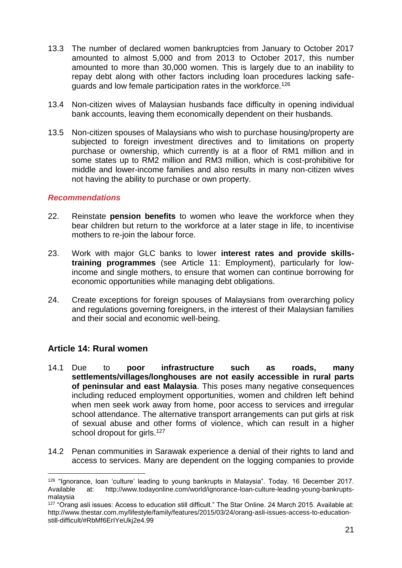- 13.3 The number of declared women bankruptcies from January to October 2017 amounted to almost 5,000 and from 2013 to October 2017, this number amounted to more than 30,000 women. This is largely due to an inability to repay debt along with other factors including loan procedures lacking safeguards and low female participation rates in the workforce.<sup>126</sup>
- 13.4 Non-citizen wives of Malaysian husbands face difficulty in opening individual bank accounts, leaving them economically dependent on their husbands.
- 13.5 Non-citizen spouses of Malaysians who wish to purchase housing/property are subjected to foreign investment directives and to limitations on property purchase or ownership, which currently is at a floor of RM1 million and in some states up to RM2 million and RM3 million, which is cost-prohibitive for middle and lower-income families and also results in many non-citizen wives not having the ability to purchase or own property.

- 22. Reinstate **pension benefits** to women who leave the workforce when they bear children but return to the workforce at a later stage in life, to incentivise mothers to re-join the labour force.
- 23. Work with major GLC banks to lower **interest rates and provide skillstraining programmes** (see Article 11: Employment), particularly for lowincome and single mothers, to ensure that women can continue borrowing for economic opportunities while managing debt obligations.
- 24. Create exceptions for foreign spouses of Malaysians from overarching policy and regulations governing foreigners, in the interest of their Malaysian families and their social and economic well-being.

# **Article 14: Rural women**

 $\overline{a}$ 

- 14.1 Due to **poor infrastructure such as roads, many settlements/villages/longhouses are not easily accessible in rural parts of peninsular and east Malaysia**. This poses many negative consequences including reduced employment opportunities, women and children left behind when men seek work away from home, poor access to services and irregular school attendance. The alternative transport arrangements can put girls at risk of sexual abuse and other forms of violence, which can result in a higher school dropout for girls.<sup>127</sup>
- 14.2 Penan communities in Sarawak experience a denial of their rights to land and access to services. Many are dependent on the logging companies to provide

<sup>126</sup> "Ignorance, loan 'culture' leading to young bankrupts in Malaysia". Today. 16 December 2017. Available at: http://www.todayonline.com/world/ignorance-loan-culture-leading-young-bankruptsmalaysia

<sup>&</sup>lt;sup>127</sup> "Orang asli issues: Access to education still difficult." The Star Online. 24 March 2015. Available at: http://www.thestar.com.my/lifestyle/family/features/2015/03/24/orang-asli-issues-access-to-educationstill-difficult/#RbMf6ErIYeUkj2e4.99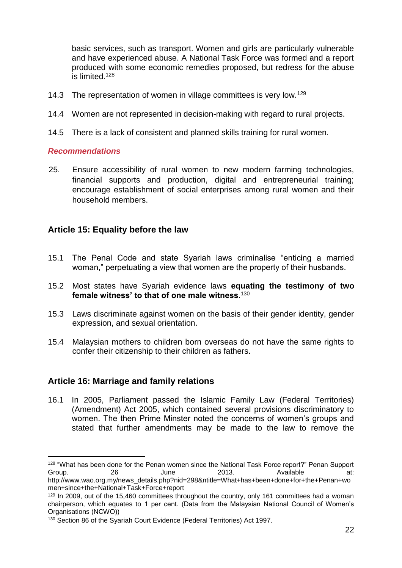basic services, such as transport. Women and girls are particularly vulnerable and have experienced abuse. A National Task Force was formed and a report produced with some economic remedies proposed, but redress for the abuse is limited.<sup>128</sup>

- 14.3 The representation of women in village committees is very low.<sup>129</sup>
- 14.4 Women are not represented in decision-making with regard to rural projects.
- 14.5 There is a lack of consistent and planned skills training for rural women.

#### *Recommendations*

l

25. Ensure accessibility of rural women to new modern farming technologies, financial supports and production, digital and entrepreneurial training; encourage establishment of social enterprises among rural women and their household members.

### **Article 15: Equality before the law**

- 15.1 The Penal Code and state Syariah laws criminalise "enticing a married woman," perpetuating a view that women are the property of their husbands.
- 15.2 Most states have Syariah evidence laws **equating the testimony of two female witness' to that of one male witness**. 130
- 15.3 Laws discriminate against women on the basis of their gender identity, gender expression, and sexual orientation.
- 15.4 Malaysian mothers to children born overseas do not have the same rights to confer their citizenship to their children as fathers.

### **Article 16: Marriage and family relations**

16.1 In 2005, Parliament passed the Islamic Family Law (Federal Territories) (Amendment) Act 2005, which contained several provisions discriminatory to women. The then Prime Minster noted the concerns of women's groups and stated that further amendments may be made to the law to remove the

<sup>&</sup>lt;sup>128</sup> "What has been done for the Penan women since the National Task Force report?" Penan Support Group.<br> $\begin{array}{ccc}\n\text{Group.} & 26\n\end{array}$  at: Group. 26 June 2013. Available at: http://www.wao.org.my/news\_details.php?nid=298&ntitle=What+has+been+done+for+the+Penan+wo men+since+the+National+Task+Force+report

<sup>&</sup>lt;sup>129</sup> In 2009, out of the 15,460 committees throughout the country, only 161 committees had a woman chairperson, which equates to 1 per cent. (Data from the Malaysian National Council of Women's Organisations (NCWO))

<sup>130</sup> Section 86 of the Syariah Court Evidence (Federal Territories) Act 1997.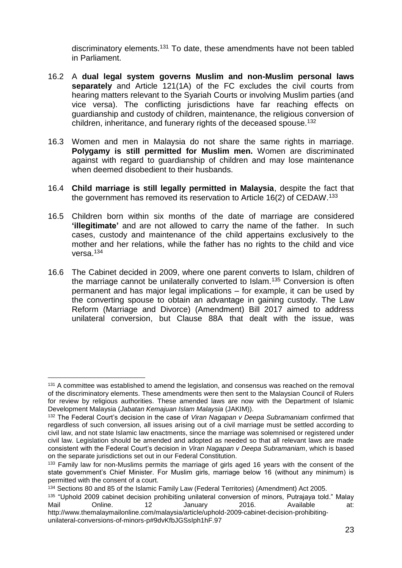discriminatory elements.<sup>131</sup> To date, these amendments have not been tabled in Parliament.

- 16.2 A **dual legal system governs Muslim and non-Muslim personal laws separately** and Article 121(1A) of the FC excludes the civil courts from hearing matters relevant to the Syariah Courts or involving Muslim parties (and vice versa). The conflicting jurisdictions have far reaching effects on guardianship and custody of children, maintenance, the religious conversion of children, inheritance, and funerary rights of the deceased spouse.<sup>132</sup>
- 16.3 Women and men in Malaysia do not share the same rights in marriage. **Polygamy is still permitted for Muslim men.** Women are discriminated against with regard to guardianship of children and may lose maintenance when deemed disobedient to their husbands.
- 16.4 **Child marriage is still legally permitted in Malaysia**, despite the fact that the government has removed its reservation to Article 16(2) of CEDAW.<sup>133</sup>
- 16.5 Children born within six months of the date of marriage are considered **'illegitimate'** and are not allowed to carry the name of the father. In such cases, custody and maintenance of the child appertains exclusively to the mother and her relations, while the father has no rights to the child and vice versa.<sup>134</sup>
- 16.6 The Cabinet decided in 2009, where one parent converts to Islam, children of the marriage cannot be unilaterally converted to Islam.<sup>135</sup> Conversion is often permanent and has major legal implications – for example, it can be used by the converting spouse to obtain an advantage in gaining custody. The Law Reform (Marriage and Divorce) (Amendment) Bill 2017 aimed to address unilateral conversion, but Clause 88A that dealt with the issue, was

l <sup>131</sup> A committee was established to amend the legislation, and consensus was reached on the removal of the discriminatory elements. These amendments were then sent to the Malaysian Council of Rulers for review by religious authorities. These amended laws are now with the Department of Islamic Development Malaysia (*Jabatan Kemajuan Islam Malaysia* (JAKIM)).

<sup>132</sup> The Federal Court's decision in the case of *Viran Nagapan v Deepa Subramaniam* confirmed that regardless of such conversion, all issues arising out of a civil marriage must be settled according to civil law, and not state Islamic law enactments, since the marriage was solemnised or registered under civil law. Legislation should be amended and adopted as needed so that all relevant laws are made consistent with the Federal Court's decision in *Viran Nagapan v Deepa Subramaniam*, which is based on the separate jurisdictions set out in our Federal Constitution.

<sup>133</sup> Family law for non-Muslims permits the marriage of girls aged 16 years with the consent of the state government's Chief Minister. For Muslim girls, marriage below 16 (without any minimum) is permitted with the consent of a court.

<sup>134</sup> Sections 80 and 85 of the Islamic Family Law (Federal Territories) (Amendment) Act 2005.

<sup>135 &</sup>quot;Uphold 2009 cabinet decision prohibiting unilateral conversion of minors, Putrajaya told." Malay Mail Online. 12 January 2016. Available at: http://www.themalaymailonline.com/malaysia/article/uphold-2009-cabinet-decision-prohibiting-

unilateral-conversions-of-minors-p#9dvKfbJGSsIph1hF.97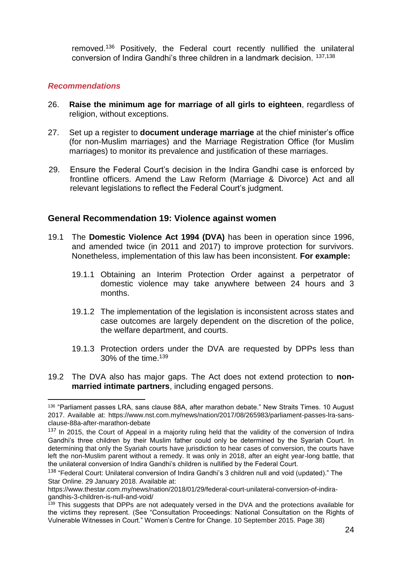removed.<sup>136</sup> Positively, the Federal court recently nullified the unilateral conversion of Indira Gandhi's three children in a landmark decision. 137,138

### *Recommendations*

- 26. **Raise the minimum age for marriage of all girls to eighteen**, regardless of religion, without exceptions.
- 27. Set up a register to **document underage marriage** at the chief minister's office (for non-Muslim marriages) and the Marriage Registration Office (for Muslim marriages) to monitor its prevalence and justification of these marriages.
- 29. Ensure the Federal Court's decision in the Indira Gandhi case is enforced by frontline officers. Amend the Law Reform (Marriage & Divorce) Act and all relevant legislations to reflect the Federal Court's judgment.

### **General Recommendation 19: Violence against women**

- 19.1 The **Domestic Violence Act 1994 (DVA)** has been in operation since 1996, and amended twice (in 2011 and 2017) to improve protection for survivors. Nonetheless, implementation of this law has been inconsistent. **For example:**
	- 19.1.1 Obtaining an Interim Protection Order against a perpetrator of domestic violence may take anywhere between 24 hours and 3 months.
	- 19.1.2 The implementation of the legislation is inconsistent across states and case outcomes are largely dependent on the discretion of the police, the welfare department, and courts.
	- 19.1.3 Protection orders under the DVA are requested by DPPs less than 30% of the time. $139$
- 19.2 The DVA also has major gaps. The Act does not extend protection to **nonmarried intimate partners**, including engaged persons.

l 136 "Parliament passes LRA, sans clause 88A, after marathon debate." New Straits Times. 10 August 2017. Available at: https://www.nst.com.my/news/nation/2017/08/265983/parliament-passes-lra-sansclause-88a-after-marathon-debate

<sup>&</sup>lt;sup>137</sup> In 2015, the Court of Appeal in a majority ruling held that the validity of the conversion of Indira Gandhi's three children by their Muslim father could only be determined by the Syariah Court. In determining that only the Syariah courts have jurisdiction to hear cases of conversion, the courts have left the non-Muslim parent without a remedy. It was only in 2018, after an eight year-long battle, that the unilateral conversion of Indira Gandhi's children is nullified by the Federal Court.

<sup>&</sup>lt;sup>138</sup> "Federal Court: Unilateral conversion of Indira Gandhi's 3 children null and void (updated)." The Star Online. 29 January 2018. Available at:

https://www.thestar.com.my/news/nation/2018/01/29/federal-court-unilateral-conversion-of-indiragandhis-3-children-is-null-and-void/

<sup>&</sup>lt;sup>139</sup> This suggests that DPPs are not adequately versed in the DVA and the protections available for the victims they represent. (See "Consultation Proceedings: National Consultation on the Rights of Vulnerable Witnesses in Court." Women's Centre for Change. 10 September 2015. Page 38)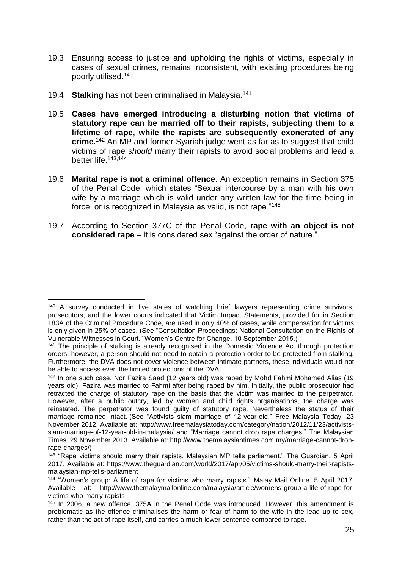- 19.3 Ensuring access to justice and upholding the rights of victims, especially in cases of sexual crimes, remains inconsistent, with existing procedures being poorly utilised.<sup>140</sup>
- 19.4 **Stalking** has not been criminalised in Malaysia.<sup>141</sup>

l

- 19.5 **Cases have emerged introducing a disturbing notion that victims of statutory rape can be married off to their rapists, subjecting them to a lifetime of rape, while the rapists are subsequently exonerated of any crime.**<sup>142</sup> An MP and former Syariah judge went as far as to suggest that child victims of rape *should* marry their rapists to avoid social problems and lead a better life.143,144
- 19.6 **Marital rape is not a criminal offence**. An exception remains in Section 375 of the Penal Code, which states "Sexual intercourse by a man with his own wife by a marriage which is valid under any written law for the time being in force, or is recognized in Malaysia as valid, is not rape."<sup>145</sup>
- 19.7 According to Section 377C of the Penal Code, **rape with an object is not considered rape** – it is considered sex "against the order of nature."

 $140$  A survey conducted in five states of watching brief lawyers representing crime survivors, prosecutors, and the lower courts indicated that Victim Impact Statements, provided for in Section 183A of the Criminal Procedure Code, are used in only 40% of cases, while compensation for victims is only given in 25% of cases. (See "Consultation Proceedings: National Consultation on the Rights of Vulnerable Witnesses in Court." Women's Centre for Change. 10 September 2015.)

<sup>141</sup> The principle of stalking is already recognised in the Domestic Violence Act through protection orders; however, a person should not need to obtain a protection order to be protected from stalking. Furthermore, the DVA does not cover violence between intimate partners, these individuals would not be able to access even the limited protections of the DVA.

<sup>&</sup>lt;sup>142</sup> In one such case, Nor Fazira Saad (12 years old) was raped by Mohd Fahmi Mohamed Alias (19 years old). Fazira was married to Fahmi after being raped by him. Initially, the public prosecutor had retracted the charge of statutory rape on the basis that the victim was married to the perpetrator. However, after a public outcry, led by women and child rights organisations, the charge was reinstated. The perpetrator was found guilty of statutory rape. Nevertheless the status of their marriage remained intact. (See "Activists slam marriage of 12-year-old." Free Malaysia Today. 23 November 2012. Available at: [http://www.freemalaysiatoday.com/category/nation/2012/11/23/activists](http://www.freemalaysiatoday.com/category/nation/2012/11/23/activists-slam-marriage-of-12-year-old-in-malaysia/)[slam-marriage-of-12-year-old-in-malaysia/](http://www.freemalaysiatoday.com/category/nation/2012/11/23/activists-slam-marriage-of-12-year-old-in-malaysia/) and "Marriage cannot drop rape charges." The Malaysian Times. 29 November 2013. Available at: http://www.themalaysiantimes.com.my/marriage-cannot-droprape-charges/)

<sup>143</sup> "Rape victims should marry their rapists, Malaysian MP tells parliament." The Guardian. 5 April 2017. Available at: [https://www.theguardian.com/world/2017/apr/05/victims-should-marry-their-rapists](https://www.theguardian.com/world/2017/apr/05/victims-should-marry-their-rapists-malaysian-mp-tells-parliament)[malaysian-mp-tells-parliament](https://www.theguardian.com/world/2017/apr/05/victims-should-marry-their-rapists-malaysian-mp-tells-parliament)

<sup>144</sup> "Women's group: A life of rape for victims who marry rapists." Malay Mail Online. 5 April 2017. Available at: http://www.themalaymailonline.com/malaysia/article/womens-group-a-life-of-rape-forvictims-who-marry-rapists

<sup>145</sup> In 2006, a new offence, 375A in the Penal Code was introduced. However, this amendment is problematic as the offence criminalises the harm or fear of harm to the wife in the lead up to sex, rather than the act of rape itself, and carries a much lower sentence compared to rape.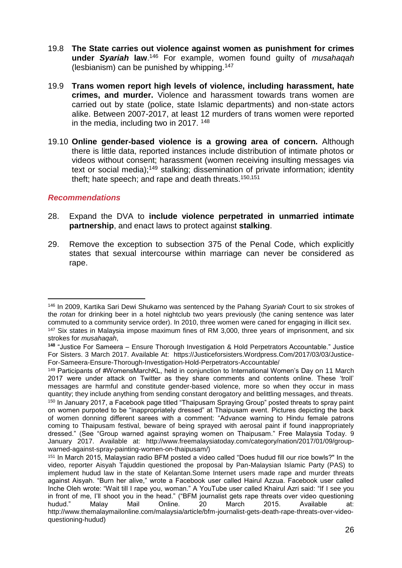- 19.8 **The State carries out violence against women as punishment for crimes under** *Syariah* **law**. <sup>146</sup> For example, women found guilty of *musahaqah* (lesbianism) can be punished by whipping.<sup>147</sup>
- 19.9 **Trans women report high levels of violence, including harassment, hate crimes, and murder.** Violence and harassment towards trans women are carried out by state (police, state Islamic departments) and non-state actors alike. Between 2007-2017, at least 12 murders of trans women were reported in the media, including two in 2017. <sup>148</sup>
- 19.10 **Online gender-based violence is a growing area of concern.** Although there is little data, reported instances include distribution of intimate photos or videos without consent; harassment (women receiving insulting messages via text or social media);<sup>149</sup> stalking; dissemination of private information; identity theft; hate speech; and rape and death threats. 150,151

- 28. Expand the DVA to **include violence perpetrated in unmarried intimate partnership**, and enact laws to protect against **stalking**.
- 29. Remove the exception to subsection 375 of the Penal Code, which explicitly states that sexual intercourse within marriage can never be considered as rape.

l <sup>146</sup> In 2009, Kartika Sari Dewi Shukarno was sentenced by the Pahang *Syariah* Court to six strokes of the *rotan* for drinking beer in a hotel nightclub two years previously (the caning sentence was later commuted to a community service order). In 2010, three women were caned for engaging in illicit sex. <sup>147</sup> Six states in Malaysia impose maximum fines of RM 3,000, three years of imprisonment, and six

strokes for *musahaqah*,

**<sup>148</sup>** "Justice For Sameera – Ensure Thorough Investigation & Hold Perpetrators Accountable." Justice For Sisters. 3 March 2017. Available At: https://Justiceforsisters.Wordpress.Com/2017/03/03/Justice-For-Sameera-Ensure-Thorough-Investigation-Hold-Perpetrators-Accountable/

<sup>149</sup> Participants of #WomensMarchKL, held in conjunction to International Women's Day on 11 March 2017 were under attack on Twitter as they share comments and contents online. These 'troll' messages are harmful and constitute gender-based violence, more so when they occur in mass quantity; they include anything from sending constant derogatory and belittling messages, and threats. <sup>150</sup> In January 2017, a Facebook page titled "Thaipusam Spraying Group" posted threats to spray paint on women purpoted to be "inappropriately dressed" at Thaipusam event. Pictures depicting the back of women donning different sarees with a comment: "Advance warning to Hindu female patrons coming to Thaipusam festival, beware of being sprayed with aerosal paint if found inappropriately dressed." (See "Group warned against spraying women on Thaipusam." Free Malaysia Today. 9 January 2017. Available at: [http://www.freemalaysiatoday.com/category/nation/2017/01/09/group](http://www.freemalaysiatoday.com/category/nation/2017/01/09/group-warned-against-spray-painting-women-on-thaipusam/)[warned-against-spray-painting-women-on-thaipusam/\)](http://www.freemalaysiatoday.com/category/nation/2017/01/09/group-warned-against-spray-painting-women-on-thaipusam/)

<sup>151</sup> In March 2015, Malaysian radio BFM posted a video called "Does hudud fill our rice bowls?" In the video, reporter Aisyah Tajuddin questioned the proposal by Pan-Malaysian Islamic Party (PAS) to implement hudud law in the state of Kelantan.Some Internet users made rape and murder threats against Aisyah. "Burn her alive," wrote a Facebook user called Hairul Azzua. Facebook user called Inche Oleh wrote: "Wait till I rape you, woman." A YouTube user called Khairul Azri said: "If I see you in front of me, I'll shoot you in the head." ("BFM journalist gets rape threats over video questioning hudud." Malay Mail Online. 20 March 2015. Available at: http://www.themalaymailonline.com/malaysia/article/bfm-journalist-gets-death-rape-threats-over-videoquestioning-hudud)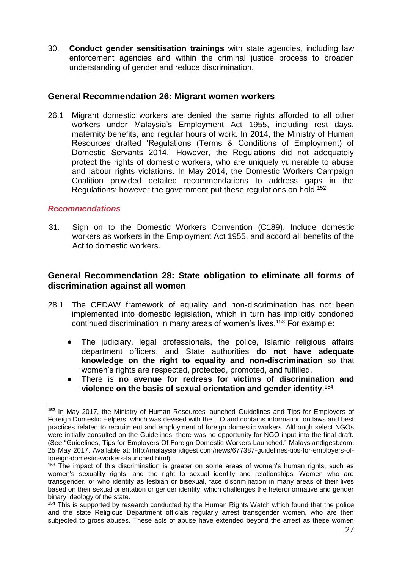30. **Conduct gender sensitisation trainings** with state agencies, including law enforcement agencies and within the criminal justice process to broaden understanding of gender and reduce discrimination.

### **General Recommendation 26: Migrant women workers**

26.1 Migrant domestic workers are denied the same rights afforded to all other workers under Malaysia's Employment Act 1955, including rest days, maternity benefits, and regular hours of work. In 2014, the Ministry of Human Resources drafted 'Regulations (Terms & Conditions of Employment) of Domestic Servants 2014.' However, the Regulations did not adequately protect the rights of domestic workers, who are uniquely vulnerable to abuse and labour rights violations. In May 2014, the Domestic Workers Campaign Coalition provided detailed recommendations to address gaps in the Regulations; however the government put these regulations on hold.<sup>152</sup>

### *Recommendations*

31. Sign on to the Domestic Workers Convention (C189). Include domestic workers as workers in the Employment Act 1955, and accord all benefits of the Act to domestic workers.

### **General Recommendation 28: State obligation to eliminate all forms of discrimination against all women**

- 28.1 The CEDAW framework of equality and non-discrimination has not been implemented into domestic legislation, which in turn has implicitly condoned continued discrimination in many areas of women's lives.<sup>153</sup> For example:
	- The judiciary, legal professionals, the police, Islamic religious affairs department officers, and State authorities **do not have adequate knowledge on the right to equality and non-discrimination** so that women's rights are respected, protected, promoted, and fulfilled.
	- There is **no avenue for redress for victims of discrimination and violence on the basis of sexual orientation and gender identity**. 154

l **<sup>152</sup>** In May 2017, the Ministry of Human Resources launched Guidelines and Tips for Employers of Foreign Domestic Helpers, which was devised with the ILO and contains information on laws and best practices related to recruitment and employment of foreign domestic workers. Although select NGOs were initially consulted on the Guidelines, there was no opportunity for NGO input into the final draft. (See "Guidelines, Tips for Employers Of Foreign Domestic Workers Launched." Malaysiandigest.com. 25 May 2017. Available at: http://malaysiandigest.com/news/677387-guidelines-tips-for-employers-offoreign-domestic-workers-launched.html)

<sup>153</sup> The impact of this discrimination is greater on some areas of women's human rights, such as women's sexuality rights, and the right to sexual identity and relationships. Women who are transgender, or who identify as lesbian or bisexual, face discrimination in many areas of their lives based on their sexual orientation or gender identity, which challenges the heteronormative and gender binary ideology of the state.

<sup>&</sup>lt;sup>154</sup> This is supported by research conducted by the Human Rights Watch which found that the police and the state Religious Department officials regularly arrest transgender women, who are then subjected to gross abuses. These acts of abuse have extended beyond the arrest as these women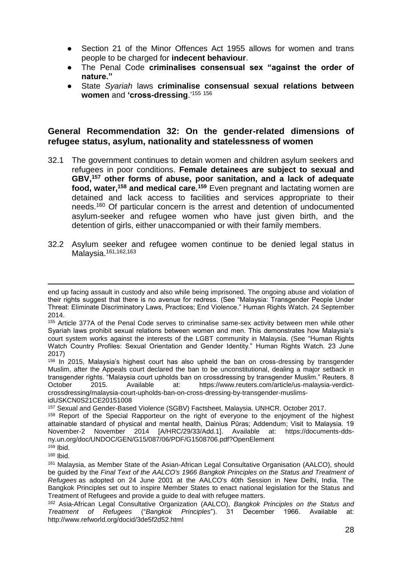- Section 21 of the Minor Offences Act 1955 allows for women and trans people to be charged for **indecent behaviour**.
- The Penal Code **criminalises consensual sex "against the order of nature."**
- State *Syariah* laws **criminalise consensual sexual relations between women** and **'cross-dressing**.'<sup>155</sup> <sup>156</sup>

### **General Recommendation 32: On the gender-related dimensions of refugee status, asylum, nationality and statelessness of women**

- 32.1 The government continues to detain women and children asylum seekers and refugees in poor conditions. **Female detainees are subject to sexual and GBV,<sup>157</sup> other forms of abuse, poor sanitation, and a lack of adequate food, water,<sup>158</sup> and medical care.<sup>159</sup>** Even pregnant and lactating women are detained and lack access to facilities and services appropriate to their needs.<sup>160</sup> Of particular concern is the arrest and detention of undocumented asylum-seeker and refugee women who have just given birth, and the detention of girls, either unaccompanied or with their family members.
- 32.2 Asylum seeker and refugee women continue to be denied legal status in Malaysia.161,162,163

l end up facing assault in custody and also while being imprisoned. The ongoing abuse and violation of their rights suggest that there is no avenue for redress. (See "Malaysia: Transgender People Under Threat: Eliminate Discriminatory Laws, Practices; End Violence." Human Rights Watch*.* 24 September 2014.

<sup>155</sup> Article 377A of the Penal Code serves to criminalise same-sex activity between men while other Syariah laws prohibit sexual relations between women and men. This demonstrates how Malaysia's court system works against the interests of the LGBT community in Malaysia. (See "Human Rights Watch Country Profiles: Sexual Orientation and Gender Identity." Human Rights Watch. 23 June 2017)

<sup>156</sup> In 2015, Malaysia's highest court has also upheld the ban on cross-dressing by transgender Muslim, after the Appeals court declared the ban to be unconstitutional, dealing a major setback in transgender rights. "Malaysia court upholds ban on crossdressing by transgender Muslim." Reuters. 8 October 2015. Available at: https://www.reuters.com/article/us-malaysia-verdictcrossdressing/malaysia-court-upholds-ban-on-cross-dressing-by-transgender-muslimsidUSKCN0S21CE20151008

<sup>157</sup> Sexual and Gender-Based Violence (SGBV) Factsheet, Malaysia. UNHCR. October 2017.

<sup>158</sup> Report of the Special Rapporteur on the right of everyone to the enjoyment of the highest attainable standard of physical and mental health, Dainius Pūras; Addendum; Visit to Malaysia. 19 November-2 November 2014 [A/HRC/29/33/Add.1]. Available at: [https://documents-dds](https://documents-dds-ny.un.org/doc/UNDOC/GEN/G15/087/06/PDF/G1508706.pdf?OpenElement)[ny.un.org/doc/UNDOC/GEN/G15/087/06/PDF/G1508706.pdf?OpenElement](https://documents-dds-ny.un.org/doc/UNDOC/GEN/G15/087/06/PDF/G1508706.pdf?OpenElement)

 $159$  Ibid.

<sup>160</sup> Ibid.

<sup>161</sup> Malaysia, as Member State of the Asian-African Legal Consultative Organisation (AALCO), should be guided by the *Final Text of the AALCO's 1966 Bangkok Principles on the Status and Treatment of Refugees* as adopted on 24 June 2001 at the AALCO's 40th Session in New Delhi, India. The Bangkok Principles set out to inspire Member States to enact national legislation for the Status and Treatment of Refugees and provide a guide to deal with refugee matters.

<sup>162</sup> Asia-African Legal Consultative Organization (AALCO), *Bangkok Principles on the Status and Treatment of Refugees* ("*Bangkok Principles*"). 31 December 1966. Available at: http://www.refworld.org/docid/3de5f2d52.html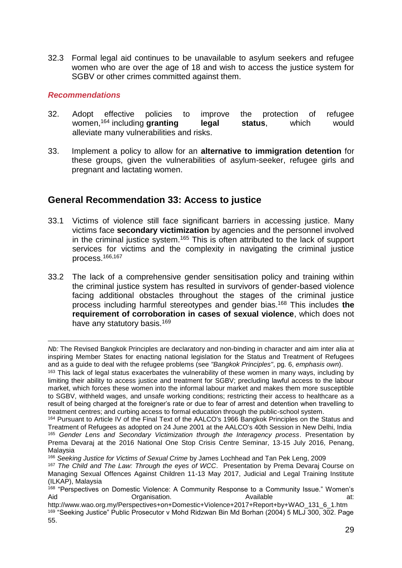32.3 Formal legal aid continues to be unavailable to asylum seekers and refugee women who are over the age of 18 and wish to access the justice system for SGBV or other crimes committed against them.

#### *Recommendations*

- 32. Adopt effective policies to improve the protection of refugee women,<sup>164</sup> including **granting** legal status, which would alleviate many vulnerabilities and risks.
- 33. Implement a policy to allow for an **alternative to immigration detention** for these groups, given the vulnerabilities of asylum-seeker, refugee girls and pregnant and lactating women.

# **General Recommendation 33: Access to justice**

- 33.1 Victims of violence still face significant barriers in accessing justice. Many victims face **secondary victimization** by agencies and the personnel involved in the criminal justice system.<sup>165</sup> This is often attributed to the lack of support services for victims and the complexity in navigating the criminal justice process.166,167
- 33.2 The lack of a comprehensive gender sensitisation policy and training within the criminal justice system has resulted in survivors of gender-based violence facing additional obstacles throughout the stages of the criminal justice process including harmful stereotypes and gender bias. <sup>168</sup> This includes **the requirement of corroboration in cases of sexual violence**, which does not have any statutory basis.<sup>169</sup>

l *Nb:* The Revised Bangkok Principles are declaratory and non-binding in character and aim inter alia at inspiring Member States for enacting national legislation for the Status and Treatment of Refugees and as a guide to deal with the refugee problems (see *"Bangkok Principles"*, pg. 6, *emphasis own*).

<sup>163</sup> This lack of legal status exacerbates the vulnerability of these women in many ways, including by limiting their ability to access justice and treatment for SGBV; precluding lawful access to the labour market, which forces these women into the informal labour market and makes them more susceptible to SGBV, withheld wages, and unsafe working conditions; restricting their access to healthcare as a result of being charged at the foreigner's rate or due to fear of arrest and detention when travelling to treatment centres; and curbing access to formal education through the public-school system.

<sup>164</sup> Pursuant to Article IV of the Final Text of the AALCO's 1966 Bangkok Principles on the Status and Treatment of Refugees as adopted on 24 June 2001 at the AALCO's 40th Session in New Delhi, India <sup>165</sup> *Gender Lens and Secondary Victimization through the Interagency process*. Presentation by Prema Devaraj at the 2016 National One Stop Crisis Centre Seminar, 13-15 July 2016, Penang, Malaysia

<sup>166</sup> *Seeking Justice for Victims of Sexual Crime* by James Lochhead and Tan Pek Leng, 2009

<sup>167</sup> *The Child and The Law: Through the eyes of WCC*. Presentation by Prema Devaraj Course on Managing Sexual Offences Against Children 11-13 May 2017, Judicial and Legal Training Institute (ILKAP), Malaysia

<sup>168 &</sup>quot;Perspectives on Domestic Violence: A Community Response to a Community Issue." Women's Aid **Aid Craanisation.** Available at: Available at:

http://www.wao.org.my/Perspectives+on+Domestic+Violence+2017+Report+by+WAO\_131\_6\_1.htm <sup>169</sup> "Seeking Justice" Public Prosecutor v Mohd Ridzwan Bin Md Borhan (2004) 5 MLJ 300, 302. Page 55.